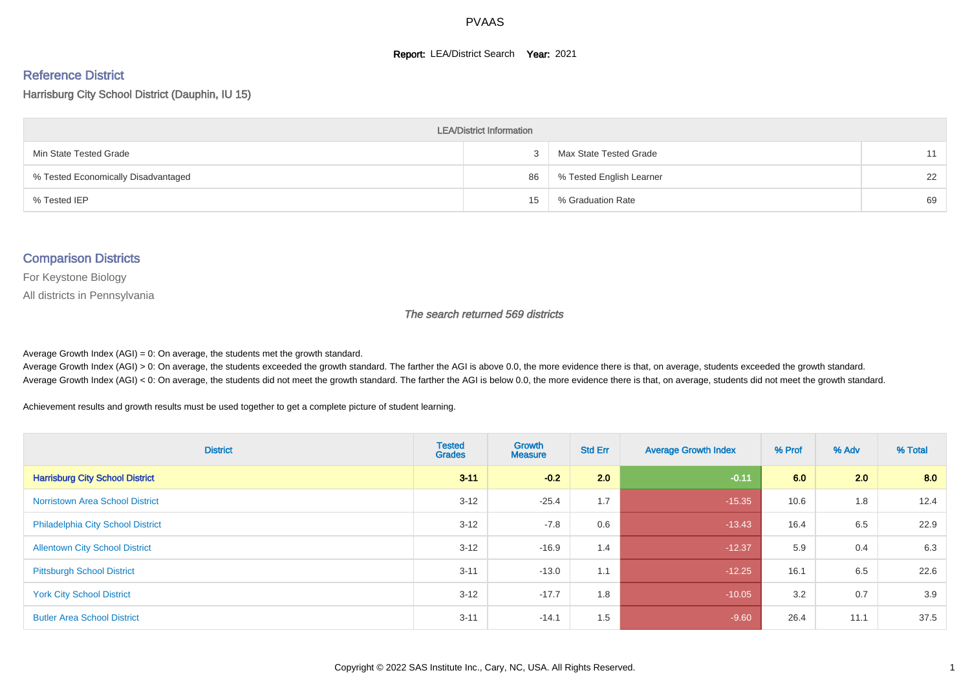#### **Report: LEA/District Search Year: 2021**

# Reference District

Harrisburg City School District (Dauphin, IU 15)

| <b>LEA/District Information</b>     |    |                          |    |  |  |  |  |  |  |  |
|-------------------------------------|----|--------------------------|----|--|--|--|--|--|--|--|
| Min State Tested Grade              |    | Max State Tested Grade   | 11 |  |  |  |  |  |  |  |
| % Tested Economically Disadvantaged | 86 | % Tested English Learner | 22 |  |  |  |  |  |  |  |
| % Tested IEP                        | 15 | % Graduation Rate        | 69 |  |  |  |  |  |  |  |

#### Comparison Districts

For Keystone Biology

All districts in Pennsylvania

The search returned 569 districts

Average Growth Index  $(AGI) = 0$ : On average, the students met the growth standard.

Average Growth Index (AGI) > 0: On average, the students exceeded the growth standard. The farther the AGI is above 0.0, the more evidence there is that, on average, students exceeded the growth standard. Average Growth Index (AGI) < 0: On average, the students did not meet the growth standard. The farther the AGI is below 0.0, the more evidence there is that, on average, students did not meet the growth standard.

Achievement results and growth results must be used together to get a complete picture of student learning.

| <b>District</b>                          | <b>Tested</b><br><b>Grades</b> | Growth<br><b>Measure</b> | <b>Std Err</b> | <b>Average Growth Index</b> | % Prof | % Adv | % Total |
|------------------------------------------|--------------------------------|--------------------------|----------------|-----------------------------|--------|-------|---------|
| <b>Harrisburg City School District</b>   | $3 - 11$                       | $-0.2$                   | 2.0            | $-0.11$                     | 6.0    | 2.0   | 8.0     |
| <b>Norristown Area School District</b>   | $3 - 12$                       | $-25.4$                  | 1.7            | $-15.35$                    | 10.6   | 1.8   | 12.4    |
| <b>Philadelphia City School District</b> | $3 - 12$                       | $-7.8$                   | 0.6            | $-13.43$                    | 16.4   | 6.5   | 22.9    |
| <b>Allentown City School District</b>    | $3 - 12$                       | $-16.9$                  | 1.4            | $-12.37$                    | 5.9    | 0.4   | 6.3     |
| <b>Pittsburgh School District</b>        | $3 - 11$                       | $-13.0$                  | 1.1            | $-12.25$                    | 16.1   | 6.5   | 22.6    |
| <b>York City School District</b>         | $3 - 12$                       | $-17.7$                  | 1.8            | $-10.05$                    | 3.2    | 0.7   | 3.9     |
| <b>Butler Area School District</b>       | $3 - 11$                       | $-14.1$                  | 1.5            | $-9.60$                     | 26.4   | 11.1  | 37.5    |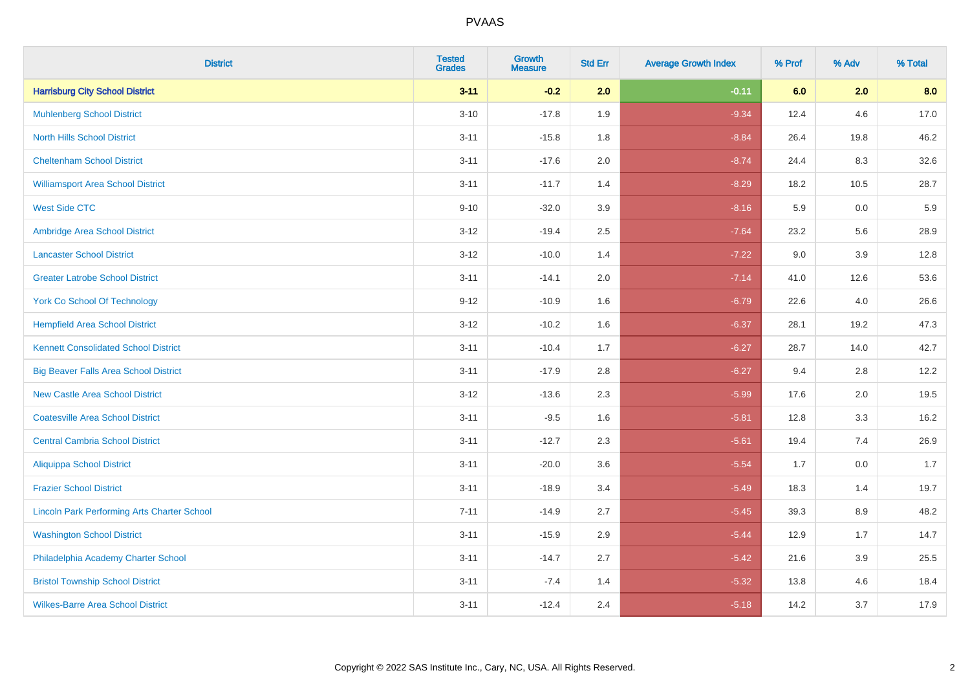| <b>District</b>                                    | <b>Tested</b><br><b>Grades</b> | <b>Growth</b><br><b>Measure</b> | <b>Std Err</b> | <b>Average Growth Index</b> | % Prof | % Adv | % Total |
|----------------------------------------------------|--------------------------------|---------------------------------|----------------|-----------------------------|--------|-------|---------|
| <b>Harrisburg City School District</b>             | $3 - 11$                       | $-0.2$                          | 2.0            | $-0.11$                     | 6.0    | 2.0   | 8.0     |
| <b>Muhlenberg School District</b>                  | $3 - 10$                       | $-17.8$                         | 1.9            | $-9.34$                     | 12.4   | 4.6   | 17.0    |
| <b>North Hills School District</b>                 | $3 - 11$                       | $-15.8$                         | 1.8            | $-8.84$                     | 26.4   | 19.8  | 46.2    |
| <b>Cheltenham School District</b>                  | $3 - 11$                       | $-17.6$                         | 2.0            | $-8.74$                     | 24.4   | 8.3   | 32.6    |
| <b>Williamsport Area School District</b>           | $3 - 11$                       | $-11.7$                         | 1.4            | $-8.29$                     | 18.2   | 10.5  | 28.7    |
| <b>West Side CTC</b>                               | $9 - 10$                       | $-32.0$                         | 3.9            | $-8.16$                     | 5.9    | 0.0   | 5.9     |
| Ambridge Area School District                      | $3 - 12$                       | $-19.4$                         | 2.5            | $-7.64$                     | 23.2   | 5.6   | 28.9    |
| <b>Lancaster School District</b>                   | $3 - 12$                       | $-10.0$                         | 1.4            | $-7.22$                     | 9.0    | 3.9   | 12.8    |
| <b>Greater Latrobe School District</b>             | $3 - 11$                       | $-14.1$                         | 2.0            | $-7.14$                     | 41.0   | 12.6  | 53.6    |
| <b>York Co School Of Technology</b>                | $9 - 12$                       | $-10.9$                         | 1.6            | $-6.79$                     | 22.6   | 4.0   | 26.6    |
| <b>Hempfield Area School District</b>              | $3 - 12$                       | $-10.2$                         | 1.6            | $-6.37$                     | 28.1   | 19.2  | 47.3    |
| <b>Kennett Consolidated School District</b>        | $3 - 11$                       | $-10.4$                         | 1.7            | $-6.27$                     | 28.7   | 14.0  | 42.7    |
| <b>Big Beaver Falls Area School District</b>       | $3 - 11$                       | $-17.9$                         | 2.8            | $-6.27$                     | 9.4    | 2.8   | 12.2    |
| <b>New Castle Area School District</b>             | $3 - 12$                       | $-13.6$                         | 2.3            | $-5.99$                     | 17.6   | 2.0   | 19.5    |
| <b>Coatesville Area School District</b>            | $3 - 11$                       | $-9.5$                          | 1.6            | $-5.81$                     | 12.8   | 3.3   | 16.2    |
| <b>Central Cambria School District</b>             | $3 - 11$                       | $-12.7$                         | 2.3            | $-5.61$                     | 19.4   | 7.4   | 26.9    |
| <b>Aliquippa School District</b>                   | $3 - 11$                       | $-20.0$                         | 3.6            | $-5.54$                     | 1.7    | 0.0   | 1.7     |
| <b>Frazier School District</b>                     | $3 - 11$                       | $-18.9$                         | 3.4            | $-5.49$                     | 18.3   | 1.4   | 19.7    |
| <b>Lincoln Park Performing Arts Charter School</b> | $7 - 11$                       | $-14.9$                         | 2.7            | $-5.45$                     | 39.3   | 8.9   | 48.2    |
| <b>Washington School District</b>                  | $3 - 11$                       | $-15.9$                         | 2.9            | $-5.44$                     | 12.9   | 1.7   | 14.7    |
| Philadelphia Academy Charter School                | $3 - 11$                       | $-14.7$                         | 2.7            | $-5.42$                     | 21.6   | 3.9   | 25.5    |
| <b>Bristol Township School District</b>            | $3 - 11$                       | $-7.4$                          | 1.4            | $-5.32$                     | 13.8   | 4.6   | 18.4    |
| <b>Wilkes-Barre Area School District</b>           | $3 - 11$                       | $-12.4$                         | 2.4            | $-5.18$                     | 14.2   | 3.7   | 17.9    |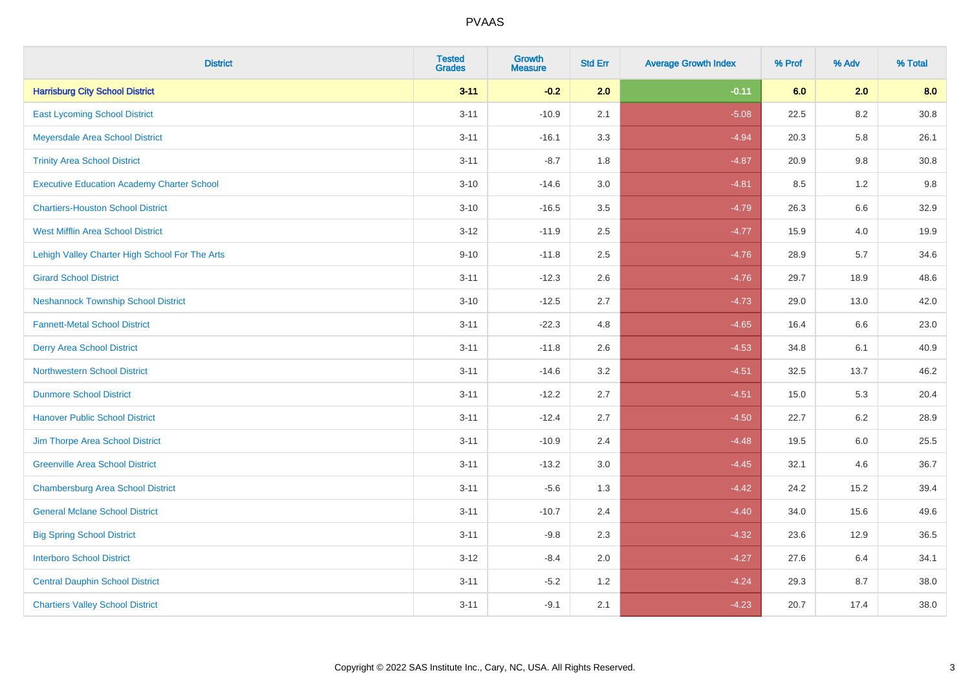| <b>District</b>                                   | <b>Tested</b><br><b>Grades</b> | <b>Growth</b><br><b>Measure</b> | <b>Std Err</b> | <b>Average Growth Index</b> | % Prof | % Adv   | % Total  |
|---------------------------------------------------|--------------------------------|---------------------------------|----------------|-----------------------------|--------|---------|----------|
| <b>Harrisburg City School District</b>            | $3 - 11$                       | $-0.2$                          | 2.0            | $-0.11$                     | 6.0    | 2.0     | 8.0      |
| <b>East Lycoming School District</b>              | $3 - 11$                       | $-10.9$                         | 2.1            | $-5.08$                     | 22.5   | 8.2     | $30.8\,$ |
| Meyersdale Area School District                   | $3 - 11$                       | $-16.1$                         | 3.3            | $-4.94$                     | 20.3   | 5.8     | 26.1     |
| <b>Trinity Area School District</b>               | $3 - 11$                       | $-8.7$                          | 1.8            | $-4.87$                     | 20.9   | 9.8     | 30.8     |
| <b>Executive Education Academy Charter School</b> | $3 - 10$                       | $-14.6$                         | 3.0            | $-4.81$                     | 8.5    | 1.2     | 9.8      |
| <b>Chartiers-Houston School District</b>          | $3 - 10$                       | $-16.5$                         | 3.5            | $-4.79$                     | 26.3   | 6.6     | 32.9     |
| <b>West Mifflin Area School District</b>          | $3 - 12$                       | $-11.9$                         | 2.5            | $-4.77$                     | 15.9   | 4.0     | 19.9     |
| Lehigh Valley Charter High School For The Arts    | $9 - 10$                       | $-11.8$                         | 2.5            | $-4.76$                     | 28.9   | 5.7     | 34.6     |
| <b>Girard School District</b>                     | $3 - 11$                       | $-12.3$                         | 2.6            | $-4.76$                     | 29.7   | 18.9    | 48.6     |
| <b>Neshannock Township School District</b>        | $3 - 10$                       | $-12.5$                         | 2.7            | $-4.73$                     | 29.0   | 13.0    | 42.0     |
| <b>Fannett-Metal School District</b>              | $3 - 11$                       | $-22.3$                         | 4.8            | $-4.65$                     | 16.4   | 6.6     | 23.0     |
| <b>Derry Area School District</b>                 | $3 - 11$                       | $-11.8$                         | 2.6            | $-4.53$                     | 34.8   | 6.1     | 40.9     |
| <b>Northwestern School District</b>               | $3 - 11$                       | $-14.6$                         | 3.2            | $-4.51$                     | 32.5   | 13.7    | 46.2     |
| <b>Dunmore School District</b>                    | $3 - 11$                       | $-12.2$                         | 2.7            | $-4.51$                     | 15.0   | 5.3     | 20.4     |
| <b>Hanover Public School District</b>             | $3 - 11$                       | $-12.4$                         | 2.7            | $-4.50$                     | 22.7   | 6.2     | 28.9     |
| Jim Thorpe Area School District                   | $3 - 11$                       | $-10.9$                         | 2.4            | $-4.48$                     | 19.5   | $6.0\,$ | 25.5     |
| <b>Greenville Area School District</b>            | $3 - 11$                       | $-13.2$                         | 3.0            | $-4.45$                     | 32.1   | 4.6     | 36.7     |
| <b>Chambersburg Area School District</b>          | $3 - 11$                       | $-5.6$                          | 1.3            | $-4.42$                     | 24.2   | 15.2    | 39.4     |
| <b>General Mclane School District</b>             | $3 - 11$                       | $-10.7$                         | 2.4            | $-4.40$                     | 34.0   | 15.6    | 49.6     |
| <b>Big Spring School District</b>                 | $3 - 11$                       | $-9.8$                          | 2.3            | $-4.32$                     | 23.6   | 12.9    | 36.5     |
| <b>Interboro School District</b>                  | $3 - 12$                       | $-8.4$                          | 2.0            | $-4.27$                     | 27.6   | 6.4     | 34.1     |
| <b>Central Dauphin School District</b>            | $3 - 11$                       | $-5.2$                          | 1.2            | $-4.24$                     | 29.3   | 8.7     | 38.0     |
| <b>Chartiers Valley School District</b>           | $3 - 11$                       | $-9.1$                          | 2.1            | $-4.23$                     | 20.7   | 17.4    | 38.0     |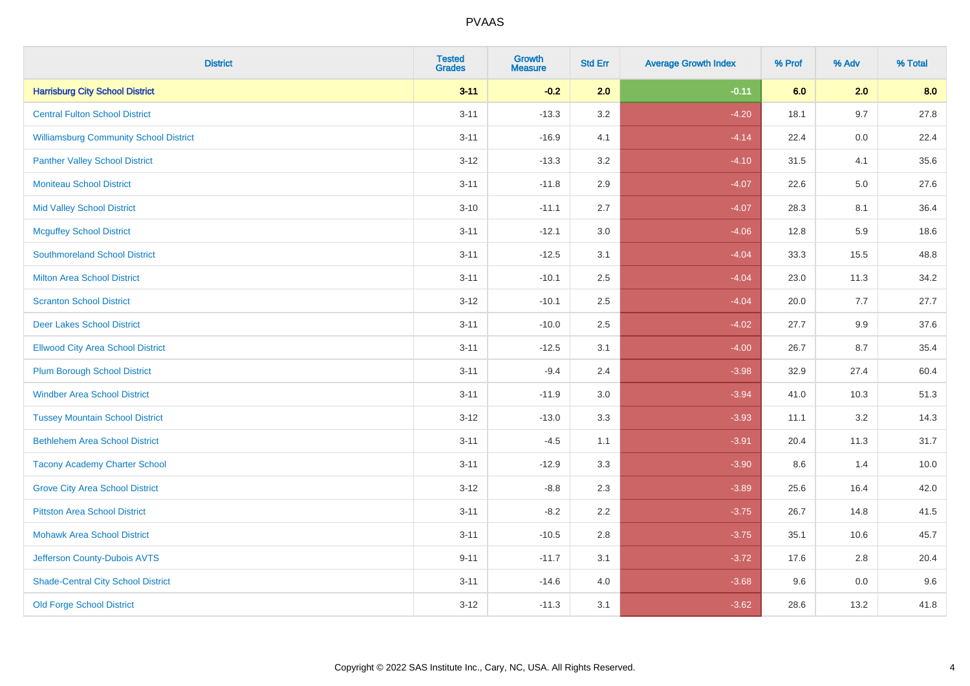| <b>District</b>                               | <b>Tested</b><br><b>Grades</b> | Growth<br><b>Measure</b> | <b>Std Err</b> | <b>Average Growth Index</b> | % Prof | % Adv | % Total |
|-----------------------------------------------|--------------------------------|--------------------------|----------------|-----------------------------|--------|-------|---------|
| <b>Harrisburg City School District</b>        | $3 - 11$                       | $-0.2$                   | 2.0            | $-0.11$                     | 6.0    | 2.0   | 8.0     |
| <b>Central Fulton School District</b>         | $3 - 11$                       | $-13.3$                  | 3.2            | $-4.20$                     | 18.1   | 9.7   | 27.8    |
| <b>Williamsburg Community School District</b> | $3 - 11$                       | $-16.9$                  | 4.1            | $-4.14$                     | 22.4   | 0.0   | 22.4    |
| <b>Panther Valley School District</b>         | $3 - 12$                       | $-13.3$                  | 3.2            | $-4.10$                     | 31.5   | 4.1   | 35.6    |
| <b>Moniteau School District</b>               | $3 - 11$                       | $-11.8$                  | 2.9            | $-4.07$                     | 22.6   | 5.0   | 27.6    |
| <b>Mid Valley School District</b>             | $3 - 10$                       | $-11.1$                  | 2.7            | $-4.07$                     | 28.3   | 8.1   | 36.4    |
| <b>Mcguffey School District</b>               | $3 - 11$                       | $-12.1$                  | 3.0            | $-4.06$                     | 12.8   | 5.9   | 18.6    |
| <b>Southmoreland School District</b>          | $3 - 11$                       | $-12.5$                  | 3.1            | $-4.04$                     | 33.3   | 15.5  | 48.8    |
| <b>Milton Area School District</b>            | $3 - 11$                       | $-10.1$                  | 2.5            | $-4.04$                     | 23.0   | 11.3  | 34.2    |
| <b>Scranton School District</b>               | $3 - 12$                       | $-10.1$                  | 2.5            | $-4.04$                     | 20.0   | 7.7   | 27.7    |
| <b>Deer Lakes School District</b>             | $3 - 11$                       | $-10.0$                  | 2.5            | $-4.02$                     | 27.7   | 9.9   | 37.6    |
| <b>Ellwood City Area School District</b>      | $3 - 11$                       | $-12.5$                  | 3.1            | $-4.00$                     | 26.7   | 8.7   | 35.4    |
| <b>Plum Borough School District</b>           | $3 - 11$                       | $-9.4$                   | 2.4            | $-3.98$                     | 32.9   | 27.4  | 60.4    |
| <b>Windber Area School District</b>           | $3 - 11$                       | $-11.9$                  | 3.0            | $-3.94$                     | 41.0   | 10.3  | 51.3    |
| <b>Tussey Mountain School District</b>        | $3 - 12$                       | $-13.0$                  | 3.3            | $-3.93$                     | 11.1   | 3.2   | 14.3    |
| <b>Bethlehem Area School District</b>         | $3 - 11$                       | $-4.5$                   | 1.1            | $-3.91$                     | 20.4   | 11.3  | 31.7    |
| <b>Tacony Academy Charter School</b>          | $3 - 11$                       | $-12.9$                  | 3.3            | $-3.90$                     | 8.6    | 1.4   | 10.0    |
| <b>Grove City Area School District</b>        | $3 - 12$                       | $-8.8$                   | 2.3            | $-3.89$                     | 25.6   | 16.4  | 42.0    |
| <b>Pittston Area School District</b>          | $3 - 11$                       | $-8.2$                   | 2.2            | $-3.75$                     | 26.7   | 14.8  | 41.5    |
| <b>Mohawk Area School District</b>            | $3 - 11$                       | $-10.5$                  | 2.8            | $-3.75$                     | 35.1   | 10.6  | 45.7    |
| Jefferson County-Dubois AVTS                  | $9 - 11$                       | $-11.7$                  | 3.1            | $-3.72$                     | 17.6   | 2.8   | 20.4    |
| <b>Shade-Central City School District</b>     | $3 - 11$                       | $-14.6$                  | 4.0            | $-3.68$                     | 9.6    | 0.0   | 9.6     |
| <b>Old Forge School District</b>              | $3 - 12$                       | $-11.3$                  | 3.1            | $-3.62$                     | 28.6   | 13.2  | 41.8    |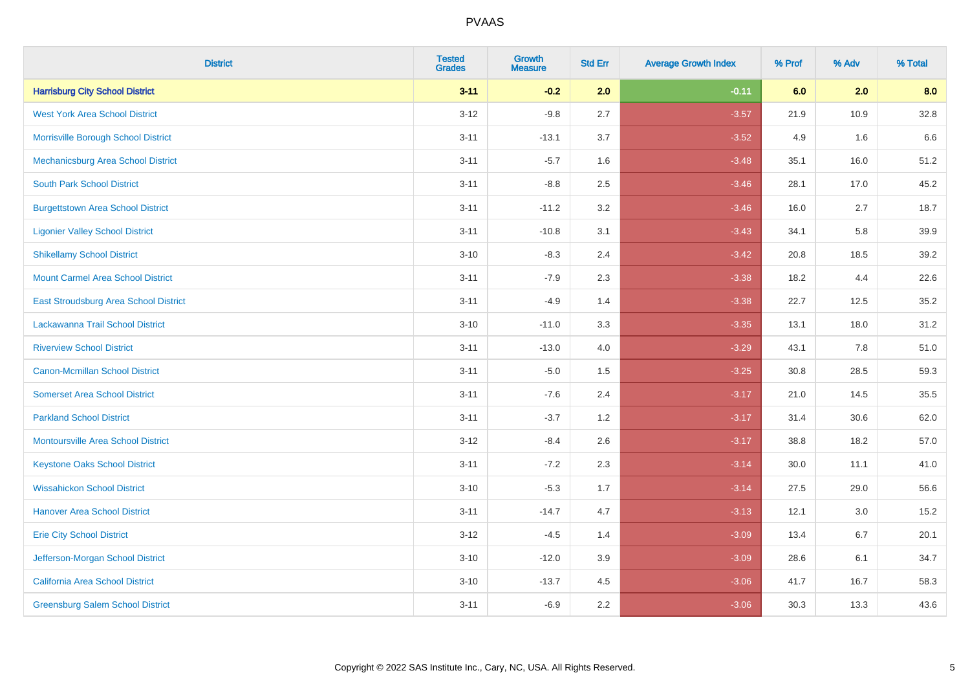| <b>District</b>                           | <b>Tested</b><br><b>Grades</b> | <b>Growth</b><br><b>Measure</b> | <b>Std Err</b> | <b>Average Growth Index</b> | % Prof | % Adv | % Total |
|-------------------------------------------|--------------------------------|---------------------------------|----------------|-----------------------------|--------|-------|---------|
| <b>Harrisburg City School District</b>    | $3 - 11$                       | $-0.2$                          | 2.0            | $-0.11$                     | 6.0    | 2.0   | 8.0     |
| <b>West York Area School District</b>     | $3 - 12$                       | $-9.8$                          | 2.7            | $-3.57$                     | 21.9   | 10.9  | 32.8    |
| Morrisville Borough School District       | $3 - 11$                       | $-13.1$                         | 3.7            | $-3.52$                     | 4.9    | 1.6   | 6.6     |
| Mechanicsburg Area School District        | $3 - 11$                       | $-5.7$                          | 1.6            | $-3.48$                     | 35.1   | 16.0  | 51.2    |
| <b>South Park School District</b>         | $3 - 11$                       | $-8.8$                          | 2.5            | $-3.46$                     | 28.1   | 17.0  | 45.2    |
| <b>Burgettstown Area School District</b>  | $3 - 11$                       | $-11.2$                         | 3.2            | $-3.46$                     | 16.0   | 2.7   | 18.7    |
| <b>Ligonier Valley School District</b>    | $3 - 11$                       | $-10.8$                         | 3.1            | $-3.43$                     | 34.1   | 5.8   | 39.9    |
| <b>Shikellamy School District</b>         | $3 - 10$                       | $-8.3$                          | 2.4            | $-3.42$                     | 20.8   | 18.5  | 39.2    |
| <b>Mount Carmel Area School District</b>  | $3 - 11$                       | $-7.9$                          | 2.3            | $-3.38$                     | 18.2   | 4.4   | 22.6    |
| East Stroudsburg Area School District     | $3 - 11$                       | $-4.9$                          | 1.4            | $-3.38$                     | 22.7   | 12.5  | 35.2    |
| Lackawanna Trail School District          | $3 - 10$                       | $-11.0$                         | 3.3            | $-3.35$                     | 13.1   | 18.0  | 31.2    |
| <b>Riverview School District</b>          | $3 - 11$                       | $-13.0$                         | 4.0            | $-3.29$                     | 43.1   | 7.8   | 51.0    |
| Canon-Mcmillan School District            | $3 - 11$                       | $-5.0$                          | 1.5            | $-3.25$                     | 30.8   | 28.5  | 59.3    |
| <b>Somerset Area School District</b>      | $3 - 11$                       | $-7.6$                          | 2.4            | $-3.17$                     | 21.0   | 14.5  | 35.5    |
| <b>Parkland School District</b>           | $3 - 11$                       | $-3.7$                          | 1.2            | $-3.17$                     | 31.4   | 30.6  | 62.0    |
| <b>Montoursville Area School District</b> | $3 - 12$                       | $-8.4$                          | 2.6            | $-3.17$                     | 38.8   | 18.2  | 57.0    |
| <b>Keystone Oaks School District</b>      | $3 - 11$                       | $-7.2$                          | 2.3            | $-3.14$                     | 30.0   | 11.1  | 41.0    |
| <b>Wissahickon School District</b>        | $3 - 10$                       | $-5.3$                          | 1.7            | $-3.14$                     | 27.5   | 29.0  | 56.6    |
| <b>Hanover Area School District</b>       | $3 - 11$                       | $-14.7$                         | 4.7            | $-3.13$                     | 12.1   | 3.0   | 15.2    |
| <b>Erie City School District</b>          | $3 - 12$                       | $-4.5$                          | 1.4            | $-3.09$                     | 13.4   | 6.7   | 20.1    |
| Jefferson-Morgan School District          | $3 - 10$                       | $-12.0$                         | 3.9            | $-3.09$                     | 28.6   | 6.1   | 34.7    |
| California Area School District           | $3 - 10$                       | $-13.7$                         | 4.5            | $-3.06$                     | 41.7   | 16.7  | 58.3    |
| <b>Greensburg Salem School District</b>   | $3 - 11$                       | $-6.9$                          | 2.2            | $-3.06$                     | 30.3   | 13.3  | 43.6    |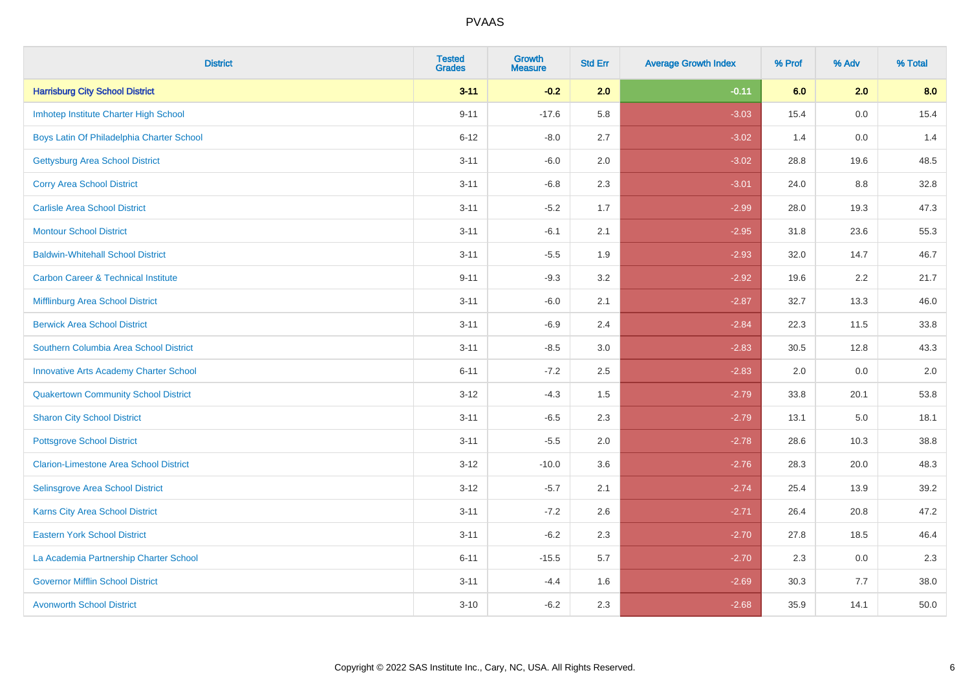| <b>District</b>                                | <b>Tested</b><br><b>Grades</b> | <b>Growth</b><br><b>Measure</b> | <b>Std Err</b> | <b>Average Growth Index</b> | % Prof | % Adv | % Total |
|------------------------------------------------|--------------------------------|---------------------------------|----------------|-----------------------------|--------|-------|---------|
| <b>Harrisburg City School District</b>         | $3 - 11$                       | $-0.2$                          | 2.0            | $-0.11$                     | 6.0    | 2.0   | 8.0     |
| Imhotep Institute Charter High School          | $9 - 11$                       | $-17.6$                         | 5.8            | $-3.03$                     | 15.4   | 0.0   | 15.4    |
| Boys Latin Of Philadelphia Charter School      | $6 - 12$                       | $-8.0$                          | 2.7            | $-3.02$                     | 1.4    | 0.0   | 1.4     |
| <b>Gettysburg Area School District</b>         | $3 - 11$                       | $-6.0$                          | 2.0            | $-3.02$                     | 28.8   | 19.6  | 48.5    |
| <b>Corry Area School District</b>              | $3 - 11$                       | $-6.8$                          | 2.3            | $-3.01$                     | 24.0   | 8.8   | 32.8    |
| <b>Carlisle Area School District</b>           | $3 - 11$                       | $-5.2$                          | 1.7            | $-2.99$                     | 28.0   | 19.3  | 47.3    |
| <b>Montour School District</b>                 | $3 - 11$                       | $-6.1$                          | 2.1            | $-2.95$                     | 31.8   | 23.6  | 55.3    |
| <b>Baldwin-Whitehall School District</b>       | $3 - 11$                       | $-5.5$                          | 1.9            | $-2.93$                     | 32.0   | 14.7  | 46.7    |
| <b>Carbon Career &amp; Technical Institute</b> | $9 - 11$                       | $-9.3$                          | 3.2            | $-2.92$                     | 19.6   | 2.2   | 21.7    |
| <b>Mifflinburg Area School District</b>        | $3 - 11$                       | $-6.0$                          | 2.1            | $-2.87$                     | 32.7   | 13.3  | 46.0    |
| <b>Berwick Area School District</b>            | $3 - 11$                       | $-6.9$                          | 2.4            | $-2.84$                     | 22.3   | 11.5  | 33.8    |
| Southern Columbia Area School District         | $3 - 11$                       | $-8.5$                          | 3.0            | $-2.83$                     | 30.5   | 12.8  | 43.3    |
| <b>Innovative Arts Academy Charter School</b>  | $6 - 11$                       | $-7.2$                          | 2.5            | $-2.83$                     | 2.0    | 0.0   | $2.0\,$ |
| <b>Quakertown Community School District</b>    | $3 - 12$                       | $-4.3$                          | $1.5\,$        | $-2.79$                     | 33.8   | 20.1  | 53.8    |
| <b>Sharon City School District</b>             | $3 - 11$                       | $-6.5$                          | 2.3            | $-2.79$                     | 13.1   | 5.0   | 18.1    |
| <b>Pottsgrove School District</b>              | $3 - 11$                       | $-5.5$                          | 2.0            | $-2.78$                     | 28.6   | 10.3  | 38.8    |
| <b>Clarion-Limestone Area School District</b>  | $3 - 12$                       | $-10.0$                         | 3.6            | $-2.76$                     | 28.3   | 20.0  | 48.3    |
| Selinsgrove Area School District               | $3 - 12$                       | $-5.7$                          | 2.1            | $-2.74$                     | 25.4   | 13.9  | 39.2    |
| <b>Karns City Area School District</b>         | $3 - 11$                       | $-7.2$                          | 2.6            | $-2.71$                     | 26.4   | 20.8  | 47.2    |
| <b>Eastern York School District</b>            | $3 - 11$                       | $-6.2$                          | 2.3            | $-2.70$                     | 27.8   | 18.5  | 46.4    |
| La Academia Partnership Charter School         | $6 - 11$                       | $-15.5$                         | 5.7            | $-2.70$                     | 2.3    | 0.0   | 2.3     |
| <b>Governor Mifflin School District</b>        | $3 - 11$                       | $-4.4$                          | 1.6            | $-2.69$                     | 30.3   | 7.7   | 38.0    |
| <b>Avonworth School District</b>               | $3 - 10$                       | $-6.2$                          | 2.3            | $-2.68$                     | 35.9   | 14.1  | 50.0    |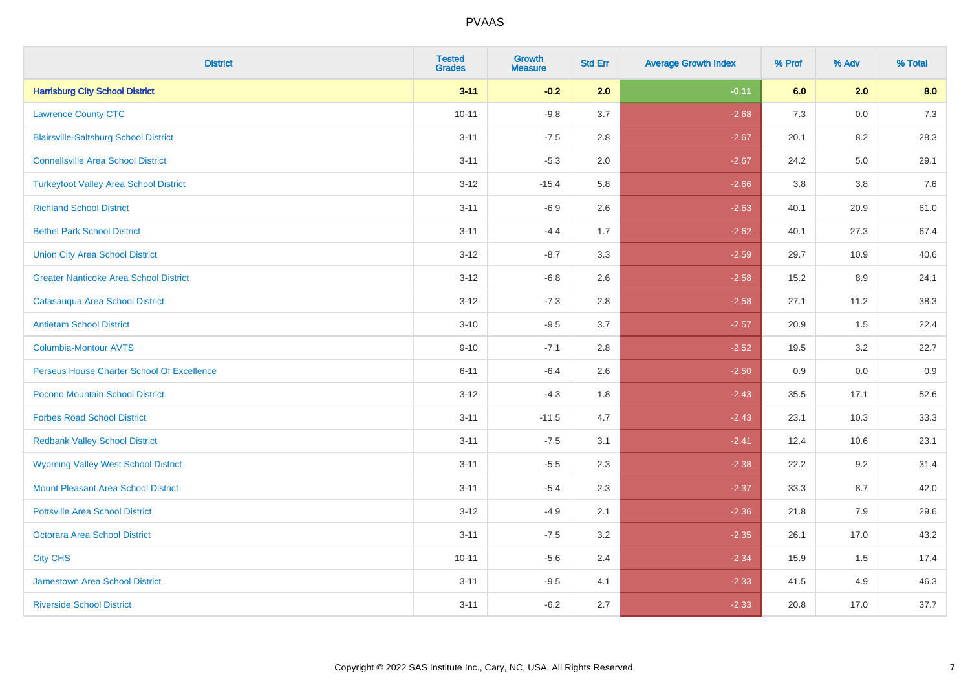| <b>District</b>                               | <b>Tested</b><br><b>Grades</b> | <b>Growth</b><br><b>Measure</b> | <b>Std Err</b> | <b>Average Growth Index</b> | % Prof | % Adv | % Total |
|-----------------------------------------------|--------------------------------|---------------------------------|----------------|-----------------------------|--------|-------|---------|
| <b>Harrisburg City School District</b>        | $3 - 11$                       | $-0.2$                          | 2.0            | $-0.11$                     | 6.0    | 2.0   | 8.0     |
| <b>Lawrence County CTC</b>                    | $10 - 11$                      | $-9.8$                          | 3.7            | $-2.68$                     | 7.3    | 0.0   | $7.3$   |
| <b>Blairsville-Saltsburg School District</b>  | $3 - 11$                       | $-7.5$                          | 2.8            | $-2.67$                     | 20.1   | 8.2   | 28.3    |
| <b>Connellsville Area School District</b>     | $3 - 11$                       | $-5.3$                          | 2.0            | $-2.67$                     | 24.2   | 5.0   | 29.1    |
| <b>Turkeyfoot Valley Area School District</b> | $3 - 12$                       | $-15.4$                         | 5.8            | $-2.66$                     | 3.8    | 3.8   | 7.6     |
| <b>Richland School District</b>               | $3 - 11$                       | $-6.9$                          | 2.6            | $-2.63$                     | 40.1   | 20.9  | 61.0    |
| <b>Bethel Park School District</b>            | $3 - 11$                       | $-4.4$                          | 1.7            | $-2.62$                     | 40.1   | 27.3  | 67.4    |
| <b>Union City Area School District</b>        | $3 - 12$                       | $-8.7$                          | 3.3            | $-2.59$                     | 29.7   | 10.9  | 40.6    |
| <b>Greater Nanticoke Area School District</b> | $3 - 12$                       | $-6.8$                          | 2.6            | $-2.58$                     | 15.2   | 8.9   | 24.1    |
| Catasauqua Area School District               | $3 - 12$                       | $-7.3$                          | 2.8            | $-2.58$                     | 27.1   | 11.2  | 38.3    |
| <b>Antietam School District</b>               | $3 - 10$                       | $-9.5$                          | 3.7            | $-2.57$                     | 20.9   | 1.5   | 22.4    |
| Columbia-Montour AVTS                         | $9 - 10$                       | $-7.1$                          | 2.8            | $-2.52$                     | 19.5   | 3.2   | 22.7    |
| Perseus House Charter School Of Excellence    | $6 - 11$                       | $-6.4$                          | 2.6            | $-2.50$                     | 0.9    | 0.0   | 0.9     |
| Pocono Mountain School District               | $3 - 12$                       | $-4.3$                          | 1.8            | $-2.43$                     | 35.5   | 17.1  | 52.6    |
| <b>Forbes Road School District</b>            | $3 - 11$                       | $-11.5$                         | 4.7            | $-2.43$                     | 23.1   | 10.3  | 33.3    |
| <b>Redbank Valley School District</b>         | $3 - 11$                       | $-7.5$                          | 3.1            | $-2.41$                     | 12.4   | 10.6  | 23.1    |
| <b>Wyoming Valley West School District</b>    | $3 - 11$                       | $-5.5$                          | 2.3            | $-2.38$                     | 22.2   | 9.2   | 31.4    |
| <b>Mount Pleasant Area School District</b>    | $3 - 11$                       | $-5.4$                          | 2.3            | $-2.37$                     | 33.3   | 8.7   | 42.0    |
| <b>Pottsville Area School District</b>        | $3 - 12$                       | $-4.9$                          | 2.1            | $-2.36$                     | 21.8   | 7.9   | 29.6    |
| Octorara Area School District                 | $3 - 11$                       | $-7.5$                          | 3.2            | $-2.35$                     | 26.1   | 17.0  | 43.2    |
| <b>City CHS</b>                               | $10 - 11$                      | $-5.6$                          | 2.4            | $-2.34$                     | 15.9   | 1.5   | 17.4    |
| <b>Jamestown Area School District</b>         | $3 - 11$                       | $-9.5$                          | 4.1            | $-2.33$                     | 41.5   | 4.9   | 46.3    |
| <b>Riverside School District</b>              | $3 - 11$                       | $-6.2$                          | 2.7            | $-2.33$                     | 20.8   | 17.0  | 37.7    |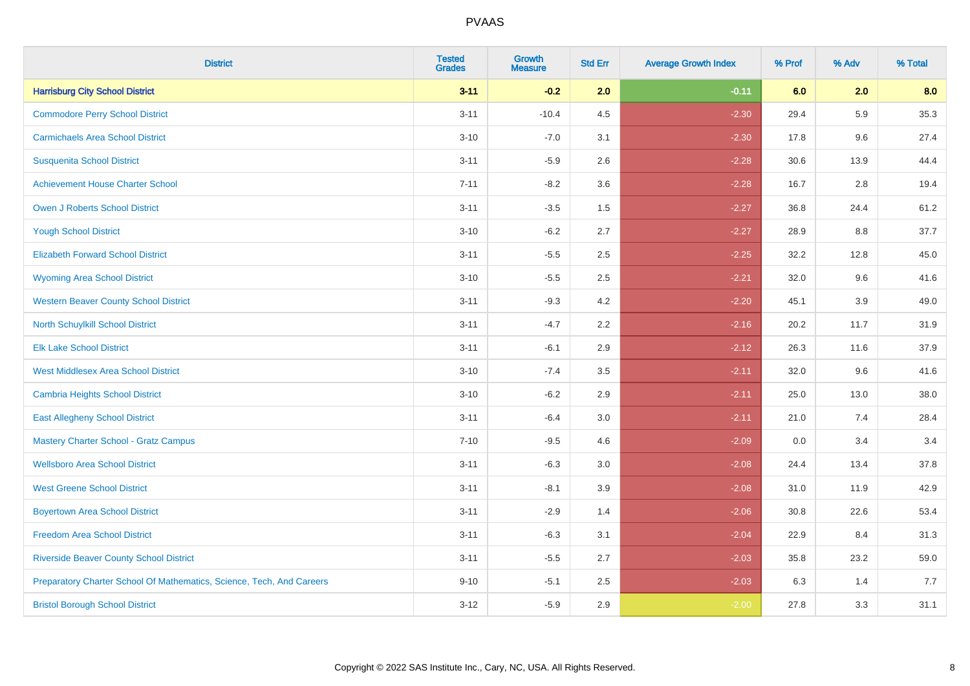| <b>District</b>                                                       | <b>Tested</b><br><b>Grades</b> | <b>Growth</b><br><b>Measure</b> | <b>Std Err</b> | <b>Average Growth Index</b> | % Prof | % Adv   | % Total |
|-----------------------------------------------------------------------|--------------------------------|---------------------------------|----------------|-----------------------------|--------|---------|---------|
| <b>Harrisburg City School District</b>                                | $3 - 11$                       | $-0.2$                          | 2.0            | $-0.11$                     | 6.0    | 2.0     | 8.0     |
| <b>Commodore Perry School District</b>                                | $3 - 11$                       | $-10.4$                         | 4.5            | $-2.30$                     | 29.4   | 5.9     | 35.3    |
| <b>Carmichaels Area School District</b>                               | $3 - 10$                       | $-7.0$                          | 3.1            | $-2.30$                     | 17.8   | 9.6     | 27.4    |
| <b>Susquenita School District</b>                                     | $3 - 11$                       | $-5.9$                          | 2.6            | $-2.28$                     | 30.6   | 13.9    | 44.4    |
| <b>Achievement House Charter School</b>                               | $7 - 11$                       | $-8.2$                          | 3.6            | $-2.28$                     | 16.7   | 2.8     | 19.4    |
| <b>Owen J Roberts School District</b>                                 | $3 - 11$                       | $-3.5$                          | 1.5            | $-2.27$                     | 36.8   | 24.4    | 61.2    |
| <b>Yough School District</b>                                          | $3 - 10$                       | $-6.2$                          | 2.7            | $-2.27$                     | 28.9   | $8.8\,$ | 37.7    |
| <b>Elizabeth Forward School District</b>                              | $3 - 11$                       | $-5.5$                          | 2.5            | $-2.25$                     | 32.2   | 12.8    | 45.0    |
| <b>Wyoming Area School District</b>                                   | $3 - 10$                       | $-5.5$                          | 2.5            | $-2.21$                     | 32.0   | 9.6     | 41.6    |
| <b>Western Beaver County School District</b>                          | $3 - 11$                       | $-9.3$                          | 4.2            | $-2.20$                     | 45.1   | 3.9     | 49.0    |
| North Schuylkill School District                                      | $3 - 11$                       | $-4.7$                          | 2.2            | $-2.16$                     | 20.2   | 11.7    | 31.9    |
| <b>Elk Lake School District</b>                                       | $3 - 11$                       | $-6.1$                          | 2.9            | $-2.12$                     | 26.3   | 11.6    | 37.9    |
| <b>West Middlesex Area School District</b>                            | $3 - 10$                       | $-7.4$                          | $3.5\,$        | $-2.11$                     | 32.0   | 9.6     | 41.6    |
| Cambria Heights School District                                       | $3 - 10$                       | $-6.2$                          | 2.9            | $-2.11$                     | 25.0   | 13.0    | 38.0    |
| <b>East Allegheny School District</b>                                 | $3 - 11$                       | $-6.4$                          | 3.0            | $-2.11$                     | 21.0   | 7.4     | 28.4    |
| <b>Mastery Charter School - Gratz Campus</b>                          | $7 - 10$                       | $-9.5$                          | 4.6            | $-2.09$                     | 0.0    | 3.4     | 3.4     |
| <b>Wellsboro Area School District</b>                                 | $3 - 11$                       | $-6.3$                          | 3.0            | $-2.08$                     | 24.4   | 13.4    | 37.8    |
| <b>West Greene School District</b>                                    | $3 - 11$                       | $-8.1$                          | 3.9            | $-2.08$                     | 31.0   | 11.9    | 42.9    |
| <b>Boyertown Area School District</b>                                 | $3 - 11$                       | $-2.9$                          | 1.4            | $-2.06$                     | 30.8   | 22.6    | 53.4    |
| <b>Freedom Area School District</b>                                   | $3 - 11$                       | $-6.3$                          | 3.1            | $-2.04$                     | 22.9   | 8.4     | 31.3    |
| <b>Riverside Beaver County School District</b>                        | $3 - 11$                       | $-5.5$                          | 2.7            | $-2.03$                     | 35.8   | 23.2    | 59.0    |
| Preparatory Charter School Of Mathematics, Science, Tech, And Careers | $9 - 10$                       | $-5.1$                          | 2.5            | $-2.03$                     | 6.3    | 1.4     | 7.7     |
| <b>Bristol Borough School District</b>                                | $3 - 12$                       | $-5.9$                          | 2.9            | $-2.00$                     | 27.8   | 3.3     | 31.1    |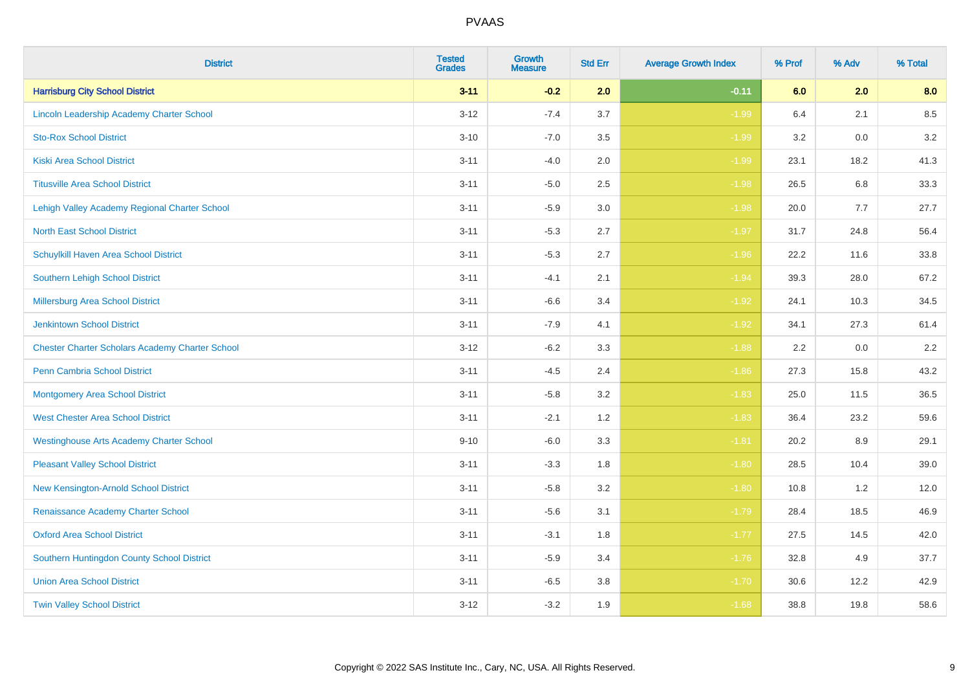| <b>District</b>                                        | <b>Tested</b><br><b>Grades</b> | <b>Growth</b><br><b>Measure</b> | <b>Std Err</b> | <b>Average Growth Index</b> | % Prof | % Adv | % Total |
|--------------------------------------------------------|--------------------------------|---------------------------------|----------------|-----------------------------|--------|-------|---------|
| <b>Harrisburg City School District</b>                 | $3 - 11$                       | $-0.2$                          | 2.0            | $-0.11$                     | 6.0    | 2.0   | 8.0     |
| Lincoln Leadership Academy Charter School              | $3 - 12$                       | $-7.4$                          | 3.7            | $-1.99$                     | 6.4    | 2.1   | 8.5     |
| <b>Sto-Rox School District</b>                         | $3 - 10$                       | $-7.0$                          | 3.5            | $-1.99$                     | 3.2    | 0.0   | 3.2     |
| <b>Kiski Area School District</b>                      | $3 - 11$                       | $-4.0$                          | 2.0            | $-1.99$                     | 23.1   | 18.2  | 41.3    |
| <b>Titusville Area School District</b>                 | $3 - 11$                       | $-5.0$                          | 2.5            | $-1.98$                     | 26.5   | 6.8   | 33.3    |
| Lehigh Valley Academy Regional Charter School          | $3 - 11$                       | $-5.9$                          | 3.0            | $-1.98$                     | 20.0   | 7.7   | 27.7    |
| <b>North East School District</b>                      | $3 - 11$                       | $-5.3$                          | 2.7            | $-1.97$                     | 31.7   | 24.8  | 56.4    |
| <b>Schuylkill Haven Area School District</b>           | $3 - 11$                       | $-5.3$                          | 2.7            | $-1.96$                     | 22.2   | 11.6  | 33.8    |
| Southern Lehigh School District                        | $3 - 11$                       | $-4.1$                          | 2.1            | $-1.94$                     | 39.3   | 28.0  | 67.2    |
| Millersburg Area School District                       | $3 - 11$                       | $-6.6$                          | 3.4            | $-1.92$                     | 24.1   | 10.3  | 34.5    |
| <b>Jenkintown School District</b>                      | $3 - 11$                       | $-7.9$                          | 4.1            | $-1.92$                     | 34.1   | 27.3  | 61.4    |
| <b>Chester Charter Scholars Academy Charter School</b> | $3 - 12$                       | $-6.2$                          | 3.3            | $-1.88$                     | 2.2    | 0.0   | 2.2     |
| Penn Cambria School District                           | $3 - 11$                       | $-4.5$                          | 2.4            | $-1.86$                     | 27.3   | 15.8  | 43.2    |
| <b>Montgomery Area School District</b>                 | $3 - 11$                       | $-5.8$                          | 3.2            | $-1.83$                     | 25.0   | 11.5  | 36.5    |
| <b>West Chester Area School District</b>               | $3 - 11$                       | $-2.1$                          | 1.2            | $-1.83$                     | 36.4   | 23.2  | 59.6    |
| <b>Westinghouse Arts Academy Charter School</b>        | $9 - 10$                       | $-6.0$                          | 3.3            | $-1.81$                     | 20.2   | 8.9   | 29.1    |
| <b>Pleasant Valley School District</b>                 | $3 - 11$                       | $-3.3$                          | 1.8            | $-1.80$                     | 28.5   | 10.4  | 39.0    |
| New Kensington-Arnold School District                  | $3 - 11$                       | $-5.8$                          | 3.2            | $-1.80$                     | 10.8   | 1.2   | 12.0    |
| Renaissance Academy Charter School                     | $3 - 11$                       | $-5.6$                          | 3.1            | $-1.79$                     | 28.4   | 18.5  | 46.9    |
| <b>Oxford Area School District</b>                     | $3 - 11$                       | $-3.1$                          | 1.8            | $-1.77$                     | 27.5   | 14.5  | 42.0    |
| Southern Huntingdon County School District             | $3 - 11$                       | $-5.9$                          | 3.4            | $-1.76$                     | 32.8   | 4.9   | 37.7    |
| <b>Union Area School District</b>                      | $3 - 11$                       | $-6.5$                          | 3.8            | $-1.70$                     | 30.6   | 12.2  | 42.9    |
| <b>Twin Valley School District</b>                     | $3 - 12$                       | $-3.2$                          | 1.9            | $-1.68$                     | 38.8   | 19.8  | 58.6    |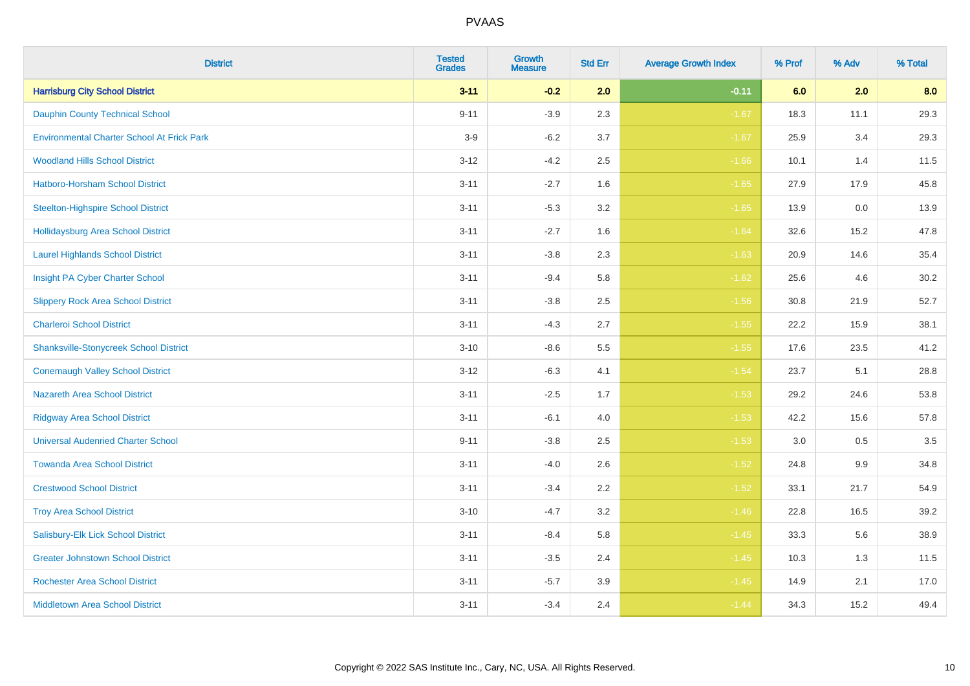| <b>District</b>                                   | <b>Tested</b><br><b>Grades</b> | <b>Growth</b><br><b>Measure</b> | <b>Std Err</b> | <b>Average Growth Index</b> | % Prof | % Adv   | % Total |
|---------------------------------------------------|--------------------------------|---------------------------------|----------------|-----------------------------|--------|---------|---------|
| <b>Harrisburg City School District</b>            | $3 - 11$                       | $-0.2$                          | 2.0            | $-0.11$                     | 6.0    | 2.0     | 8.0     |
| <b>Dauphin County Technical School</b>            | $9 - 11$                       | $-3.9$                          | 2.3            | $-1.67$                     | 18.3   | 11.1    | 29.3    |
| <b>Environmental Charter School At Frick Park</b> | $3-9$                          | $-6.2$                          | 3.7            | $-1.67$                     | 25.9   | 3.4     | 29.3    |
| <b>Woodland Hills School District</b>             | $3 - 12$                       | $-4.2$                          | 2.5            | $-1.66$                     | 10.1   | 1.4     | 11.5    |
| <b>Hatboro-Horsham School District</b>            | $3 - 11$                       | $-2.7$                          | 1.6            | $-1.65$                     | 27.9   | 17.9    | 45.8    |
| <b>Steelton-Highspire School District</b>         | $3 - 11$                       | $-5.3$                          | 3.2            | $-1.65$                     | 13.9   | 0.0     | 13.9    |
| <b>Hollidaysburg Area School District</b>         | $3 - 11$                       | $-2.7$                          | 1.6            | $-1.64$                     | 32.6   | 15.2    | 47.8    |
| <b>Laurel Highlands School District</b>           | $3 - 11$                       | $-3.8$                          | 2.3            | $-1.63$                     | 20.9   | 14.6    | 35.4    |
| Insight PA Cyber Charter School                   | $3 - 11$                       | $-9.4$                          | 5.8            | $-1.62$                     | 25.6   | 4.6     | 30.2    |
| <b>Slippery Rock Area School District</b>         | $3 - 11$                       | $-3.8$                          | 2.5            | $-1.56$                     | 30.8   | 21.9    | 52.7    |
| <b>Charleroi School District</b>                  | $3 - 11$                       | $-4.3$                          | 2.7            | $-1.55$                     | 22.2   | 15.9    | 38.1    |
| <b>Shanksville-Stonycreek School District</b>     | $3 - 10$                       | $-8.6$                          | 5.5            | $-1.55$                     | 17.6   | 23.5    | 41.2    |
| <b>Conemaugh Valley School District</b>           | $3 - 12$                       | $-6.3$                          | 4.1            | $-1.54$                     | 23.7   | 5.1     | 28.8    |
| <b>Nazareth Area School District</b>              | $3 - 11$                       | $-2.5$                          | 1.7            | $-1.53$                     | 29.2   | 24.6    | 53.8    |
| <b>Ridgway Area School District</b>               | $3 - 11$                       | $-6.1$                          | 4.0            | $-1.53$                     | 42.2   | 15.6    | 57.8    |
| <b>Universal Audenried Charter School</b>         | $9 - 11$                       | $-3.8$                          | 2.5            | $-1.53$                     | 3.0    | $0.5\,$ | 3.5     |
| <b>Towanda Area School District</b>               | $3 - 11$                       | $-4.0$                          | 2.6            | $-1.52$                     | 24.8   | $9.9\,$ | 34.8    |
| <b>Crestwood School District</b>                  | $3 - 11$                       | $-3.4$                          | 2.2            | $-1.52$                     | 33.1   | 21.7    | 54.9    |
| <b>Troy Area School District</b>                  | $3 - 10$                       | $-4.7$                          | 3.2            | $-1.46$                     | 22.8   | 16.5    | 39.2    |
| Salisbury-Elk Lick School District                | $3 - 11$                       | $-8.4$                          | 5.8            | $-1.45$                     | 33.3   | 5.6     | 38.9    |
| <b>Greater Johnstown School District</b>          | $3 - 11$                       | $-3.5$                          | 2.4            | $-1.45$                     | 10.3   | 1.3     | 11.5    |
| <b>Rochester Area School District</b>             | $3 - 11$                       | $-5.7$                          | 3.9            | $-1.45$                     | 14.9   | 2.1     | 17.0    |
| <b>Middletown Area School District</b>            | $3 - 11$                       | $-3.4$                          | 2.4            | $-1.44$                     | 34.3   | 15.2    | 49.4    |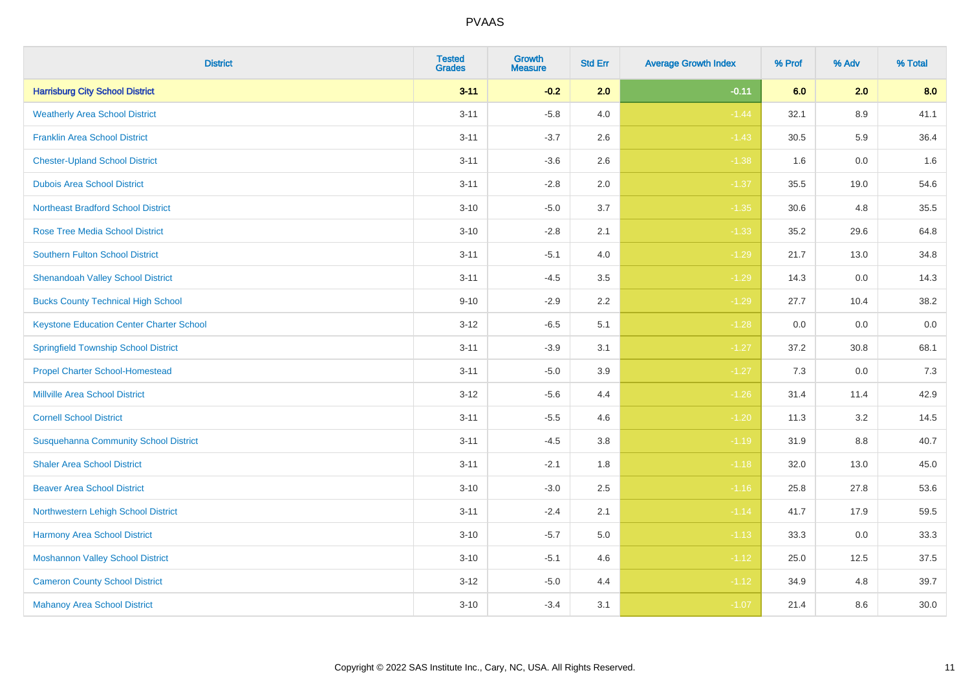| <b>District</b>                                 | <b>Tested</b><br><b>Grades</b> | <b>Growth</b><br><b>Measure</b> | <b>Std Err</b> | <b>Average Growth Index</b> | % Prof | % Adv   | % Total |
|-------------------------------------------------|--------------------------------|---------------------------------|----------------|-----------------------------|--------|---------|---------|
| <b>Harrisburg City School District</b>          | $3 - 11$                       | $-0.2$                          | 2.0            | $-0.11$                     | 6.0    | 2.0     | 8.0     |
| <b>Weatherly Area School District</b>           | $3 - 11$                       | $-5.8$                          | 4.0            | $-1.44$                     | 32.1   | $8.9\,$ | 41.1    |
| <b>Franklin Area School District</b>            | $3 - 11$                       | $-3.7$                          | 2.6            | $-1.43$                     | 30.5   | 5.9     | 36.4    |
| <b>Chester-Upland School District</b>           | $3 - 11$                       | $-3.6$                          | 2.6            | $-1.38$                     | 1.6    | $0.0\,$ | 1.6     |
| <b>Dubois Area School District</b>              | $3 - 11$                       | $-2.8$                          | 2.0            | $-1.37$                     | 35.5   | 19.0    | 54.6    |
| <b>Northeast Bradford School District</b>       | $3 - 10$                       | $-5.0$                          | 3.7            | $-1.35$                     | 30.6   | 4.8     | 35.5    |
| <b>Rose Tree Media School District</b>          | $3 - 10$                       | $-2.8$                          | 2.1            | $-1.33$                     | 35.2   | 29.6    | 64.8    |
| <b>Southern Fulton School District</b>          | $3 - 11$                       | $-5.1$                          | 4.0            | $-1.29$                     | 21.7   | 13.0    | 34.8    |
| <b>Shenandoah Valley School District</b>        | $3 - 11$                       | $-4.5$                          | 3.5            | $-1.29$                     | 14.3   | 0.0     | 14.3    |
| <b>Bucks County Technical High School</b>       | $9 - 10$                       | $-2.9$                          | 2.2            | $-1.29$                     | 27.7   | 10.4    | 38.2    |
| <b>Keystone Education Center Charter School</b> | $3 - 12$                       | $-6.5$                          | 5.1            | $-1.28$                     | 0.0    | 0.0     | $0.0\,$ |
| <b>Springfield Township School District</b>     | $3 - 11$                       | $-3.9$                          | 3.1            | $-1.27$                     | 37.2   | 30.8    | 68.1    |
| <b>Propel Charter School-Homestead</b>          | $3 - 11$                       | $-5.0$                          | 3.9            | $-1.27$                     | 7.3    | 0.0     | $7.3$   |
| <b>Millville Area School District</b>           | $3 - 12$                       | $-5.6$                          | 4.4            | $-1.26$                     | 31.4   | 11.4    | 42.9    |
| <b>Cornell School District</b>                  | $3 - 11$                       | $-5.5$                          | 4.6            | $-1.20$                     | 11.3   | 3.2     | 14.5    |
| <b>Susquehanna Community School District</b>    | $3 - 11$                       | $-4.5$                          | $3.8\,$        | $-1.19$                     | 31.9   | $8.8\,$ | 40.7    |
| <b>Shaler Area School District</b>              | $3 - 11$                       | $-2.1$                          | 1.8            | $-1.18$                     | 32.0   | 13.0    | 45.0    |
| <b>Beaver Area School District</b>              | $3 - 10$                       | $-3.0$                          | 2.5            | $-1.16$                     | 25.8   | 27.8    | 53.6    |
| Northwestern Lehigh School District             | $3 - 11$                       | $-2.4$                          | 2.1            | $-1.14$                     | 41.7   | 17.9    | 59.5    |
| Harmony Area School District                    | $3 - 10$                       | $-5.7$                          | 5.0            | $-1.13$                     | 33.3   | 0.0     | 33.3    |
| <b>Moshannon Valley School District</b>         | $3 - 10$                       | $-5.1$                          | 4.6            | $-1.12$                     | 25.0   | 12.5    | 37.5    |
| <b>Cameron County School District</b>           | $3 - 12$                       | $-5.0$                          | 4.4            | $-1.12$                     | 34.9   | 4.8     | 39.7    |
| <b>Mahanoy Area School District</b>             | $3 - 10$                       | $-3.4$                          | 3.1            | $-1.07$                     | 21.4   | 8.6     | 30.0    |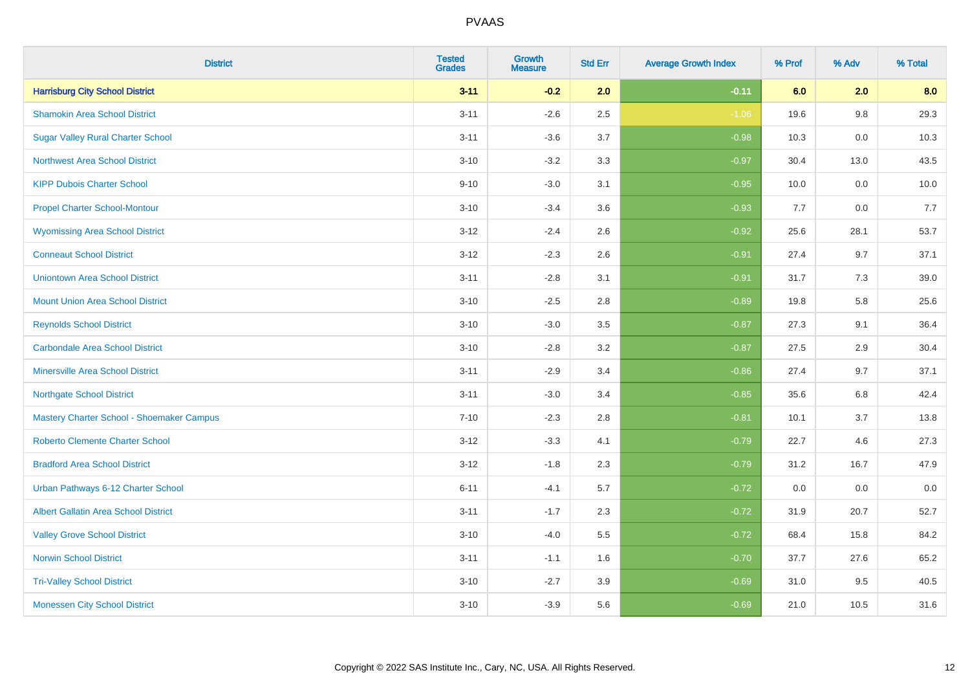| <b>District</b>                             | <b>Tested</b><br><b>Grades</b> | <b>Growth</b><br><b>Measure</b> | <b>Std Err</b> | <b>Average Growth Index</b> | % Prof | % Adv | % Total |
|---------------------------------------------|--------------------------------|---------------------------------|----------------|-----------------------------|--------|-------|---------|
| <b>Harrisburg City School District</b>      | $3 - 11$                       | $-0.2$                          | 2.0            | $-0.11$                     | 6.0    | 2.0   | 8.0     |
| <b>Shamokin Area School District</b>        | $3 - 11$                       | $-2.6$                          | 2.5            | $-1.06$                     | 19.6   | 9.8   | 29.3    |
| <b>Sugar Valley Rural Charter School</b>    | $3 - 11$                       | $-3.6$                          | 3.7            | $-0.98$                     | 10.3   | 0.0   | 10.3    |
| <b>Northwest Area School District</b>       | $3 - 10$                       | $-3.2$                          | 3.3            | $-0.97$                     | 30.4   | 13.0  | 43.5    |
| <b>KIPP Dubois Charter School</b>           | $9 - 10$                       | $-3.0$                          | 3.1            | $-0.95$                     | 10.0   | 0.0   | 10.0    |
| <b>Propel Charter School-Montour</b>        | $3 - 10$                       | $-3.4$                          | 3.6            | $-0.93$                     | 7.7    | 0.0   | 7.7     |
| <b>Wyomissing Area School District</b>      | $3 - 12$                       | $-2.4$                          | 2.6            | $-0.92$                     | 25.6   | 28.1  | 53.7    |
| <b>Conneaut School District</b>             | $3 - 12$                       | $-2.3$                          | 2.6            | $-0.91$                     | 27.4   | 9.7   | 37.1    |
| <b>Uniontown Area School District</b>       | $3 - 11$                       | $-2.8$                          | 3.1            | $-0.91$                     | 31.7   | 7.3   | 39.0    |
| <b>Mount Union Area School District</b>     | $3 - 10$                       | $-2.5$                          | 2.8            | $-0.89$                     | 19.8   | 5.8   | 25.6    |
| <b>Reynolds School District</b>             | $3 - 10$                       | $-3.0$                          | 3.5            | $-0.87$                     | 27.3   | 9.1   | 36.4    |
| <b>Carbondale Area School District</b>      | $3 - 10$                       | $-2.8$                          | 3.2            | $-0.87$                     | 27.5   | 2.9   | 30.4    |
| <b>Minersville Area School District</b>     | $3 - 11$                       | $-2.9$                          | 3.4            | $-0.86$                     | 27.4   | 9.7   | 37.1    |
| <b>Northgate School District</b>            | $3 - 11$                       | $-3.0$                          | 3.4            | $-0.85$                     | 35.6   | 6.8   | 42.4    |
| Mastery Charter School - Shoemaker Campus   | $7 - 10$                       | $-2.3$                          | 2.8            | $-0.81$                     | 10.1   | 3.7   | 13.8    |
| <b>Roberto Clemente Charter School</b>      | $3 - 12$                       | $-3.3$                          | 4.1            | $-0.79$                     | 22.7   | 4.6   | 27.3    |
| <b>Bradford Area School District</b>        | $3 - 12$                       | $-1.8$                          | 2.3            | $-0.79$                     | 31.2   | 16.7  | 47.9    |
| Urban Pathways 6-12 Charter School          | $6 - 11$                       | $-4.1$                          | 5.7            | $-0.72$                     | 0.0    | 0.0   | $0.0\,$ |
| <b>Albert Gallatin Area School District</b> | $3 - 11$                       | $-1.7$                          | 2.3            | $-0.72$                     | 31.9   | 20.7  | 52.7    |
| <b>Valley Grove School District</b>         | $3 - 10$                       | $-4.0$                          | 5.5            | $-0.72$                     | 68.4   | 15.8  | 84.2    |
| <b>Norwin School District</b>               | $3 - 11$                       | $-1.1$                          | 1.6            | $-0.70$                     | 37.7   | 27.6  | 65.2    |
| <b>Tri-Valley School District</b>           | $3 - 10$                       | $-2.7$                          | 3.9            | $-0.69$                     | 31.0   | 9.5   | 40.5    |
| <b>Monessen City School District</b>        | $3 - 10$                       | $-3.9$                          | 5.6            | $-0.69$                     | 21.0   | 10.5  | 31.6    |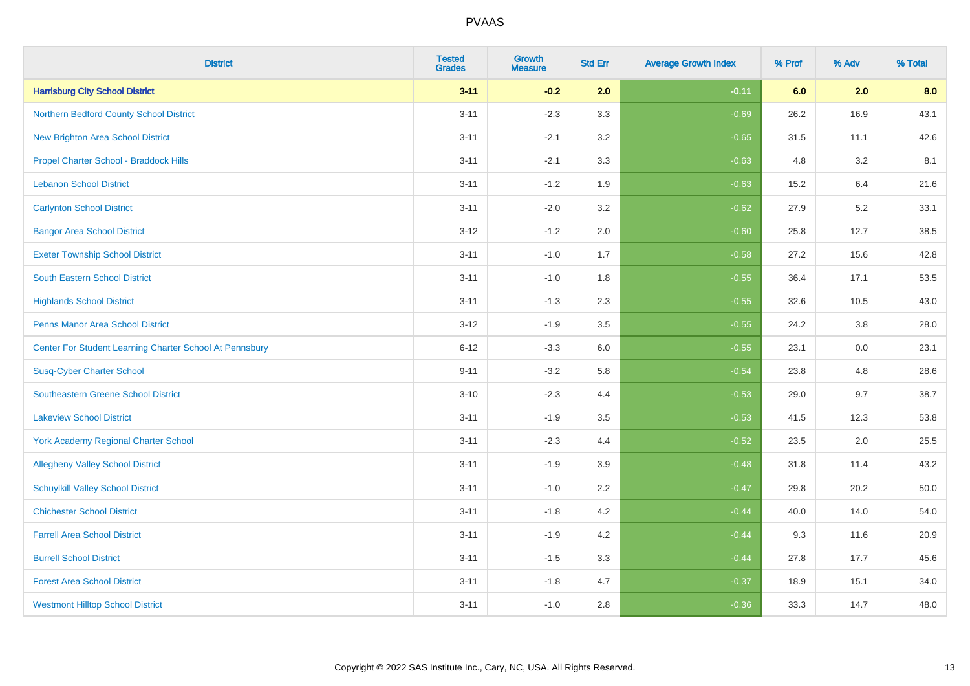| <b>District</b>                                         | <b>Tested</b><br><b>Grades</b> | <b>Growth</b><br><b>Measure</b> | <b>Std Err</b> | <b>Average Growth Index</b> | % Prof | % Adv | % Total |
|---------------------------------------------------------|--------------------------------|---------------------------------|----------------|-----------------------------|--------|-------|---------|
| <b>Harrisburg City School District</b>                  | $3 - 11$                       | $-0.2$                          | 2.0            | $-0.11$                     | 6.0    | 2.0   | 8.0     |
| Northern Bedford County School District                 | $3 - 11$                       | $-2.3$                          | 3.3            | $-0.69$                     | 26.2   | 16.9  | 43.1    |
| <b>New Brighton Area School District</b>                | $3 - 11$                       | $-2.1$                          | 3.2            | $-0.65$                     | 31.5   | 11.1  | 42.6    |
| Propel Charter School - Braddock Hills                  | $3 - 11$                       | $-2.1$                          | 3.3            | $-0.63$                     | 4.8    | 3.2   | 8.1     |
| <b>Lebanon School District</b>                          | $3 - 11$                       | $-1.2$                          | 1.9            | $-0.63$                     | 15.2   | 6.4   | 21.6    |
| <b>Carlynton School District</b>                        | $3 - 11$                       | $-2.0$                          | 3.2            | $-0.62$                     | 27.9   | 5.2   | 33.1    |
| <b>Bangor Area School District</b>                      | $3 - 12$                       | $-1.2$                          | 2.0            | $-0.60$                     | 25.8   | 12.7  | 38.5    |
| <b>Exeter Township School District</b>                  | $3 - 11$                       | $-1.0$                          | 1.7            | $-0.58$                     | 27.2   | 15.6  | 42.8    |
| <b>South Eastern School District</b>                    | $3 - 11$                       | $-1.0$                          | 1.8            | $-0.55$                     | 36.4   | 17.1  | 53.5    |
| <b>Highlands School District</b>                        | $3 - 11$                       | $-1.3$                          | 2.3            | $-0.55$                     | 32.6   | 10.5  | 43.0    |
| <b>Penns Manor Area School District</b>                 | $3 - 12$                       | $-1.9$                          | 3.5            | $-0.55$                     | 24.2   | 3.8   | 28.0    |
| Center For Student Learning Charter School At Pennsbury | $6 - 12$                       | $-3.3$                          | 6.0            | $-0.55$                     | 23.1   | 0.0   | 23.1    |
| <b>Susq-Cyber Charter School</b>                        | $9 - 11$                       | $-3.2$                          | 5.8            | $-0.54$                     | 23.8   | 4.8   | 28.6    |
| Southeastern Greene School District                     | $3 - 10$                       | $-2.3$                          | 4.4            | $-0.53$                     | 29.0   | 9.7   | 38.7    |
| <b>Lakeview School District</b>                         | $3 - 11$                       | $-1.9$                          | 3.5            | $-0.53$                     | 41.5   | 12.3  | 53.8    |
| <b>York Academy Regional Charter School</b>             | $3 - 11$                       | $-2.3$                          | 4.4            | $-0.52$                     | 23.5   | 2.0   | 25.5    |
| <b>Allegheny Valley School District</b>                 | $3 - 11$                       | $-1.9$                          | 3.9            | $-0.48$                     | 31.8   | 11.4  | 43.2    |
| <b>Schuylkill Valley School District</b>                | $3 - 11$                       | $-1.0$                          | 2.2            | $-0.47$                     | 29.8   | 20.2  | 50.0    |
| <b>Chichester School District</b>                       | $3 - 11$                       | $-1.8$                          | 4.2            | $-0.44$                     | 40.0   | 14.0  | 54.0    |
| <b>Farrell Area School District</b>                     | $3 - 11$                       | $-1.9$                          | 4.2            | $-0.44$                     | 9.3    | 11.6  | 20.9    |
| <b>Burrell School District</b>                          | $3 - 11$                       | $-1.5$                          | 3.3            | $-0.44$                     | 27.8   | 17.7  | 45.6    |
| <b>Forest Area School District</b>                      | $3 - 11$                       | $-1.8$                          | 4.7            | $-0.37$                     | 18.9   | 15.1  | 34.0    |
| <b>Westmont Hilltop School District</b>                 | $3 - 11$                       | $-1.0$                          | 2.8            | $-0.36$                     | 33.3   | 14.7  | 48.0    |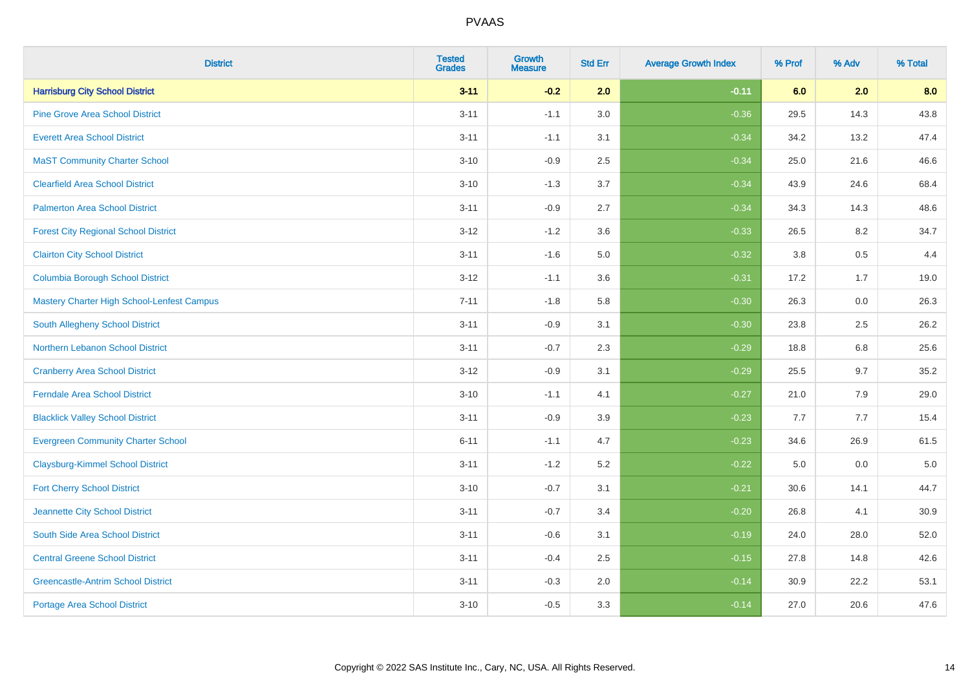| <b>District</b>                             | <b>Tested</b><br><b>Grades</b> | <b>Growth</b><br><b>Measure</b> | <b>Std Err</b> | <b>Average Growth Index</b> | % Prof | % Adv   | % Total |
|---------------------------------------------|--------------------------------|---------------------------------|----------------|-----------------------------|--------|---------|---------|
| <b>Harrisburg City School District</b>      | $3 - 11$                       | $-0.2$                          | 2.0            | $-0.11$                     | 6.0    | 2.0     | 8.0     |
| <b>Pine Grove Area School District</b>      | $3 - 11$                       | $-1.1$                          | 3.0            | $-0.36$                     | 29.5   | 14.3    | 43.8    |
| <b>Everett Area School District</b>         | $3 - 11$                       | $-1.1$                          | 3.1            | $-0.34$                     | 34.2   | 13.2    | 47.4    |
| <b>MaST Community Charter School</b>        | $3 - 10$                       | $-0.9$                          | 2.5            | $-0.34$                     | 25.0   | 21.6    | 46.6    |
| <b>Clearfield Area School District</b>      | $3 - 10$                       | $-1.3$                          | 3.7            | $-0.34$                     | 43.9   | 24.6    | 68.4    |
| <b>Palmerton Area School District</b>       | $3 - 11$                       | $-0.9$                          | 2.7            | $-0.34$                     | 34.3   | 14.3    | 48.6    |
| <b>Forest City Regional School District</b> | $3 - 12$                       | $-1.2$                          | 3.6            | $-0.33$                     | 26.5   | 8.2     | 34.7    |
| <b>Clairton City School District</b>        | $3 - 11$                       | $-1.6$                          | 5.0            | $-0.32$                     | 3.8    | 0.5     | 4.4     |
| <b>Columbia Borough School District</b>     | $3 - 12$                       | $-1.1$                          | 3.6            | $-0.31$                     | 17.2   | 1.7     | 19.0    |
| Mastery Charter High School-Lenfest Campus  | $7 - 11$                       | $-1.8$                          | 5.8            | $-0.30$                     | 26.3   | 0.0     | 26.3    |
| South Allegheny School District             | $3 - 11$                       | $-0.9$                          | 3.1            | $-0.30$                     | 23.8   | 2.5     | 26.2    |
| <b>Northern Lebanon School District</b>     | $3 - 11$                       | $-0.7$                          | 2.3            | $-0.29$                     | 18.8   | 6.8     | 25.6    |
| <b>Cranberry Area School District</b>       | $3 - 12$                       | $-0.9$                          | 3.1            | $-0.29$                     | 25.5   | 9.7     | 35.2    |
| <b>Ferndale Area School District</b>        | $3 - 10$                       | $-1.1$                          | 4.1            | $-0.27$                     | 21.0   | 7.9     | 29.0    |
| <b>Blacklick Valley School District</b>     | $3 - 11$                       | $-0.9$                          | 3.9            | $-0.23$                     | 7.7    | 7.7     | 15.4    |
| <b>Evergreen Community Charter School</b>   | $6 - 11$                       | $-1.1$                          | 4.7            | $-0.23$                     | 34.6   | 26.9    | 61.5    |
| <b>Claysburg-Kimmel School District</b>     | $3 - 11$                       | $-1.2$                          | 5.2            | $-0.22$                     | 5.0    | $0.0\,$ | $5.0$   |
| <b>Fort Cherry School District</b>          | $3 - 10$                       | $-0.7$                          | 3.1            | $-0.21$                     | 30.6   | 14.1    | 44.7    |
| Jeannette City School District              | $3 - 11$                       | $-0.7$                          | 3.4            | $-0.20$                     | 26.8   | 4.1     | 30.9    |
| South Side Area School District             | $3 - 11$                       | $-0.6$                          | 3.1            | $-0.19$                     | 24.0   | 28.0    | 52.0    |
| <b>Central Greene School District</b>       | $3 - 11$                       | $-0.4$                          | 2.5            | $-0.15$                     | 27.8   | 14.8    | 42.6    |
| <b>Greencastle-Antrim School District</b>   | $3 - 11$                       | $-0.3$                          | 2.0            | $-0.14$                     | 30.9   | 22.2    | 53.1    |
| <b>Portage Area School District</b>         | $3 - 10$                       | $-0.5$                          | 3.3            | $-0.14$                     | 27.0   | 20.6    | 47.6    |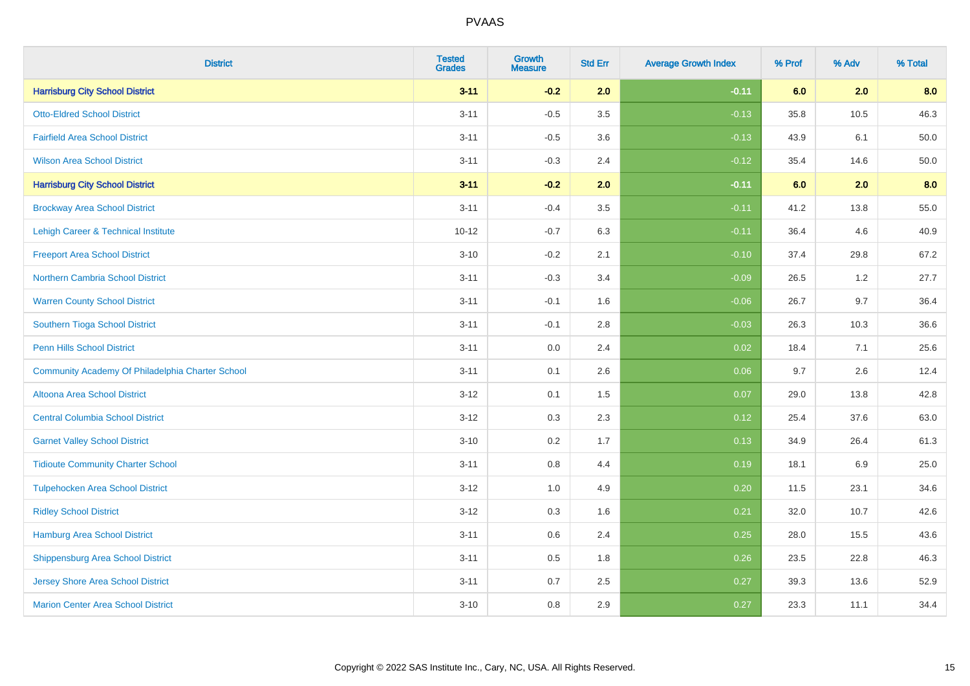| <b>District</b>                                  | <b>Tested</b><br><b>Grades</b> | <b>Growth</b><br><b>Measure</b> | <b>Std Err</b> | <b>Average Growth Index</b> | % Prof | % Adv   | % Total |
|--------------------------------------------------|--------------------------------|---------------------------------|----------------|-----------------------------|--------|---------|---------|
| <b>Harrisburg City School District</b>           | $3 - 11$                       | $-0.2$                          | 2.0            | $-0.11$                     | 6.0    | 2.0     | 8.0     |
| <b>Otto-Eldred School District</b>               | $3 - 11$                       | $-0.5$                          | 3.5            | $-0.13$                     | 35.8   | 10.5    | 46.3    |
| <b>Fairfield Area School District</b>            | $3 - 11$                       | $-0.5$                          | 3.6            | $-0.13$                     | 43.9   | 6.1     | 50.0    |
| <b>Wilson Area School District</b>               | $3 - 11$                       | $-0.3$                          | 2.4            | $-0.12$                     | 35.4   | 14.6    | 50.0    |
| <b>Harrisburg City School District</b>           | $3 - 11$                       | $-0.2$                          | 2.0            | $-0.11$                     | 6.0    | 2.0     | 8.0     |
| <b>Brockway Area School District</b>             | $3 - 11$                       | $-0.4$                          | 3.5            | $-0.11$                     | 41.2   | 13.8    | 55.0    |
| Lehigh Career & Technical Institute              | $10 - 12$                      | $-0.7$                          | 6.3            | $-0.11$                     | 36.4   | 4.6     | 40.9    |
| <b>Freeport Area School District</b>             | $3 - 10$                       | $-0.2$                          | 2.1            | $-0.10$                     | 37.4   | 29.8    | 67.2    |
| <b>Northern Cambria School District</b>          | $3 - 11$                       | $-0.3$                          | 3.4            | $-0.09$                     | 26.5   | 1.2     | 27.7    |
| <b>Warren County School District</b>             | $3 - 11$                       | $-0.1$                          | 1.6            | $-0.06$                     | 26.7   | 9.7     | 36.4    |
| Southern Tioga School District                   | $3 - 11$                       | $-0.1$                          | 2.8            | $-0.03$                     | 26.3   | 10.3    | 36.6    |
| <b>Penn Hills School District</b>                | $3 - 11$                       | 0.0                             | 2.4            | 0.02                        | 18.4   | 7.1     | 25.6    |
| Community Academy Of Philadelphia Charter School | $3 - 11$                       | 0.1                             | 2.6            | 0.06                        | 9.7    | $2.6\,$ | 12.4    |
| Altoona Area School District                     | $3 - 12$                       | 0.1                             | 1.5            | 0.07                        | 29.0   | 13.8    | 42.8    |
| <b>Central Columbia School District</b>          | $3-12$                         | 0.3                             | 2.3            | 0.12                        | 25.4   | 37.6    | 63.0    |
| <b>Garnet Valley School District</b>             | $3 - 10$                       | 0.2                             | 1.7            | 0.13                        | 34.9   | 26.4    | 61.3    |
| <b>Tidioute Community Charter School</b>         | $3 - 11$                       | 0.8                             | 4.4            | 0.19                        | 18.1   | 6.9     | 25.0    |
| <b>Tulpehocken Area School District</b>          | $3 - 12$                       | 1.0                             | 4.9            | 0.20                        | 11.5   | 23.1    | 34.6    |
| <b>Ridley School District</b>                    | $3-12$                         | 0.3                             | 1.6            | 0.21                        | 32.0   | 10.7    | 42.6    |
| <b>Hamburg Area School District</b>              | $3 - 11$                       | 0.6                             | 2.4            | 0.25                        | 28.0   | 15.5    | 43.6    |
| <b>Shippensburg Area School District</b>         | $3 - 11$                       | 0.5                             | 1.8            | 0.26                        | 23.5   | 22.8    | 46.3    |
| <b>Jersey Shore Area School District</b>         | $3 - 11$                       | 0.7                             | 2.5            | 0.27                        | 39.3   | 13.6    | 52.9    |
| <b>Marion Center Area School District</b>        | $3 - 10$                       | 0.8                             | 2.9            | 0.27                        | 23.3   | 11.1    | 34.4    |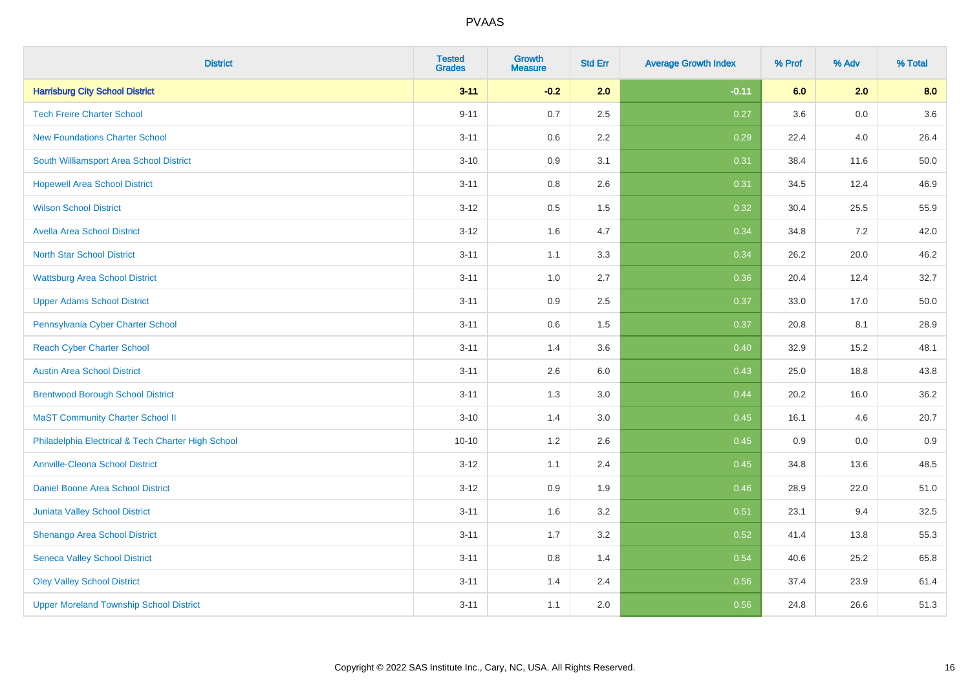| <b>District</b>                                    | <b>Tested</b><br><b>Grades</b> | <b>Growth</b><br><b>Measure</b> | <b>Std Err</b> | <b>Average Growth Index</b> | % Prof | % Adv   | % Total |
|----------------------------------------------------|--------------------------------|---------------------------------|----------------|-----------------------------|--------|---------|---------|
| <b>Harrisburg City School District</b>             | $3 - 11$                       | $-0.2$                          | 2.0            | $-0.11$                     | 6.0    | 2.0     | 8.0     |
| <b>Tech Freire Charter School</b>                  | $9 - 11$                       | 0.7                             | 2.5            | 0.27                        | 3.6    | 0.0     | 3.6     |
| <b>New Foundations Charter School</b>              | $3 - 11$                       | 0.6                             | 2.2            | 0.29                        | 22.4   | 4.0     | 26.4    |
| South Williamsport Area School District            | $3 - 10$                       | 0.9                             | 3.1            | 0.31                        | 38.4   | 11.6    | 50.0    |
| <b>Hopewell Area School District</b>               | $3 - 11$                       | 0.8                             | 2.6            | 0.31                        | 34.5   | 12.4    | 46.9    |
| <b>Wilson School District</b>                      | $3 - 12$                       | 0.5                             | 1.5            | 0.32                        | 30.4   | 25.5    | 55.9    |
| <b>Avella Area School District</b>                 | $3-12$                         | 1.6                             | 4.7            | 0.34                        | 34.8   | 7.2     | 42.0    |
| <b>North Star School District</b>                  | $3 - 11$                       | 1.1                             | 3.3            | 0.34                        | 26.2   | 20.0    | 46.2    |
| <b>Wattsburg Area School District</b>              | $3 - 11$                       | 1.0                             | 2.7            | 0.36                        | 20.4   | 12.4    | 32.7    |
| <b>Upper Adams School District</b>                 | $3 - 11$                       | 0.9                             | 2.5            | 0.37                        | 33.0   | 17.0    | 50.0    |
| Pennsylvania Cyber Charter School                  | $3 - 11$                       | 0.6                             | 1.5            | 0.37                        | 20.8   | 8.1     | 28.9    |
| <b>Reach Cyber Charter School</b>                  | $3 - 11$                       | 1.4                             | 3.6            | 0.40                        | 32.9   | 15.2    | 48.1    |
| <b>Austin Area School District</b>                 | $3 - 11$                       | 2.6                             | 6.0            | 0.43                        | 25.0   | 18.8    | 43.8    |
| <b>Brentwood Borough School District</b>           | $3 - 11$                       | 1.3                             | 3.0            | 0.44                        | 20.2   | 16.0    | 36.2    |
| <b>MaST Community Charter School II</b>            | $3 - 10$                       | 1.4                             | 3.0            | 0.45                        | 16.1   | 4.6     | 20.7    |
| Philadelphia Electrical & Tech Charter High School | $10 - 10$                      | 1.2                             | 2.6            | 0.45                        | 0.9    | $0.0\,$ | 0.9     |
| <b>Annville-Cleona School District</b>             | $3 - 12$                       | 1.1                             | 2.4            | 0.45                        | 34.8   | 13.6    | 48.5    |
| Daniel Boone Area School District                  | $3 - 12$                       | 0.9                             | 1.9            | 0.46                        | 28.9   | 22.0    | 51.0    |
| Juniata Valley School District                     | $3 - 11$                       | 1.6                             | 3.2            | 0.51                        | 23.1   | 9.4     | 32.5    |
| Shenango Area School District                      | $3 - 11$                       | 1.7                             | 3.2            | 0.52                        | 41.4   | 13.8    | 55.3    |
| <b>Seneca Valley School District</b>               | $3 - 11$                       | $0.8\,$                         | 1.4            | 0.54                        | 40.6   | 25.2    | 65.8    |
| <b>Oley Valley School District</b>                 | $3 - 11$                       | 1.4                             | 2.4            | 0.56                        | 37.4   | 23.9    | 61.4    |
| <b>Upper Moreland Township School District</b>     | $3 - 11$                       | 1.1                             | 2.0            | 0.56                        | 24.8   | 26.6    | 51.3    |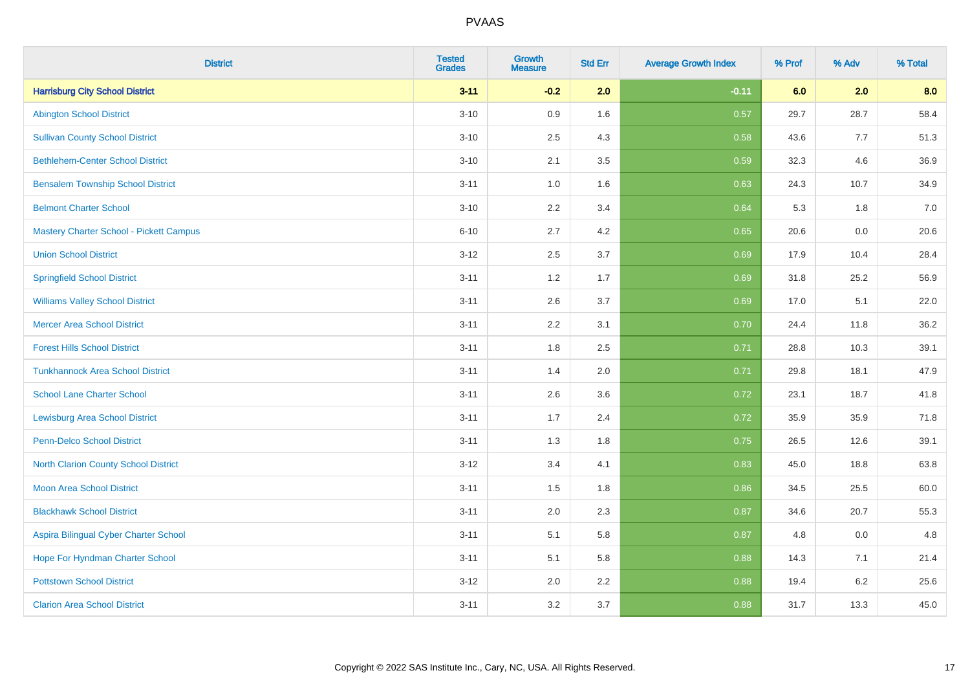| <b>District</b>                          | <b>Tested</b><br><b>Grades</b> | <b>Growth</b><br><b>Measure</b> | <b>Std Err</b> | <b>Average Growth Index</b> | % Prof | % Adv | % Total |
|------------------------------------------|--------------------------------|---------------------------------|----------------|-----------------------------|--------|-------|---------|
| <b>Harrisburg City School District</b>   | $3 - 11$                       | $-0.2$                          | 2.0            | $-0.11$                     | 6.0    | 2.0   | 8.0     |
| <b>Abington School District</b>          | $3 - 10$                       | 0.9                             | 1.6            | 0.57                        | 29.7   | 28.7  | 58.4    |
| <b>Sullivan County School District</b>   | $3 - 10$                       | 2.5                             | 4.3            | 0.58                        | 43.6   | 7.7   | 51.3    |
| <b>Bethlehem-Center School District</b>  | $3 - 10$                       | 2.1                             | 3.5            | 0.59                        | 32.3   | 4.6   | 36.9    |
| <b>Bensalem Township School District</b> | $3 - 11$                       | 1.0                             | 1.6            | 0.63                        | 24.3   | 10.7  | 34.9    |
| <b>Belmont Charter School</b>            | $3 - 10$                       | 2.2                             | 3.4            | 0.64                        | 5.3    | 1.8   | 7.0     |
| Mastery Charter School - Pickett Campus  | $6 - 10$                       | 2.7                             | 4.2            | 0.65                        | 20.6   | 0.0   | 20.6    |
| <b>Union School District</b>             | $3 - 12$                       | 2.5                             | 3.7            | 0.69                        | 17.9   | 10.4  | 28.4    |
| <b>Springfield School District</b>       | $3 - 11$                       | 1.2                             | 1.7            | 0.69                        | 31.8   | 25.2  | 56.9    |
| <b>Williams Valley School District</b>   | $3 - 11$                       | 2.6                             | 3.7            | 0.69                        | 17.0   | 5.1   | 22.0    |
| <b>Mercer Area School District</b>       | $3 - 11$                       | 2.2                             | 3.1            | 0.70                        | 24.4   | 11.8  | 36.2    |
| <b>Forest Hills School District</b>      | $3 - 11$                       | 1.8                             | 2.5            | 0.71                        | 28.8   | 10.3  | 39.1    |
| <b>Tunkhannock Area School District</b>  | $3 - 11$                       | 1.4                             | 2.0            | 0.71                        | 29.8   | 18.1  | 47.9    |
| <b>School Lane Charter School</b>        | $3 - 11$                       | 2.6                             | 3.6            | 0.72                        | 23.1   | 18.7  | 41.8    |
| <b>Lewisburg Area School District</b>    | $3 - 11$                       | 1.7                             | 2.4            | 0.72                        | 35.9   | 35.9  | 71.8    |
| Penn-Delco School District               | $3 - 11$                       | 1.3                             | 1.8            | 0.75                        | 26.5   | 12.6  | 39.1    |
| North Clarion County School District     | $3 - 12$                       | 3.4                             | 4.1            | 0.83                        | 45.0   | 18.8  | 63.8    |
| <b>Moon Area School District</b>         | $3 - 11$                       | 1.5                             | 1.8            | 0.86                        | 34.5   | 25.5  | 60.0    |
| <b>Blackhawk School District</b>         | $3 - 11$                       | 2.0                             | 2.3            | 0.87                        | 34.6   | 20.7  | 55.3    |
| Aspira Bilingual Cyber Charter School    | $3 - 11$                       | 5.1                             | 5.8            | 0.87                        | 4.8    | 0.0   | 4.8     |
| Hope For Hyndman Charter School          | $3 - 11$                       | 5.1                             | 5.8            | 0.88                        | 14.3   | 7.1   | 21.4    |
| <b>Pottstown School District</b>         | $3-12$                         | 2.0                             | 2.2            | 0.88                        | 19.4   | 6.2   | 25.6    |
| <b>Clarion Area School District</b>      | $3 - 11$                       | 3.2                             | 3.7            | 0.88                        | 31.7   | 13.3  | 45.0    |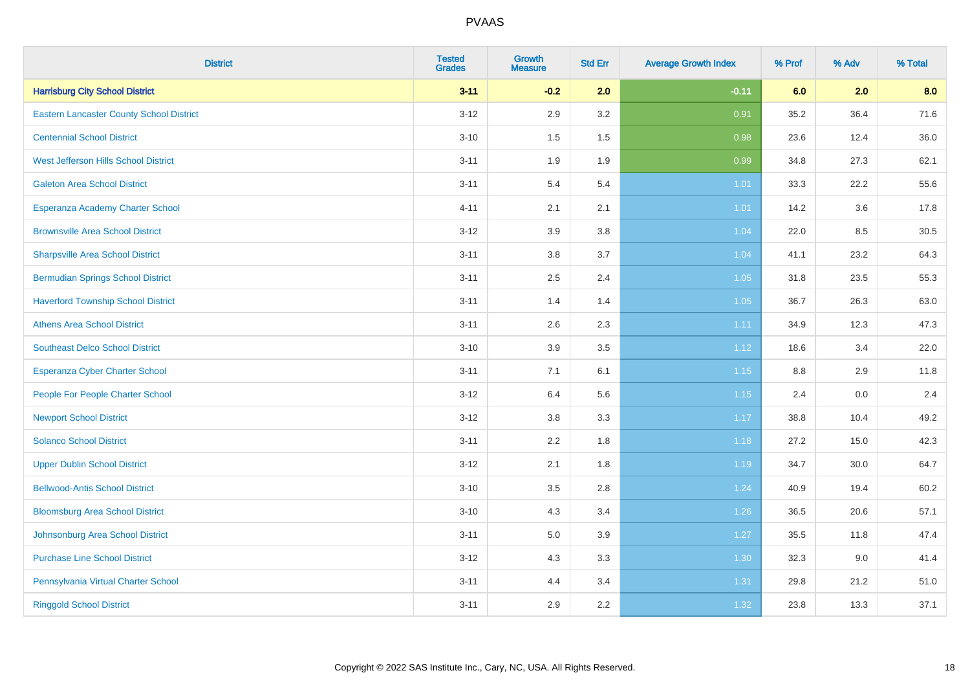| <b>District</b>                                 | <b>Tested</b><br><b>Grades</b> | <b>Growth</b><br><b>Measure</b> | <b>Std Err</b> | <b>Average Growth Index</b> | % Prof  | % Adv | % Total |
|-------------------------------------------------|--------------------------------|---------------------------------|----------------|-----------------------------|---------|-------|---------|
| <b>Harrisburg City School District</b>          | $3 - 11$                       | $-0.2$                          | 2.0            | $-0.11$                     | 6.0     | 2.0   | 8.0     |
| <b>Eastern Lancaster County School District</b> | $3 - 12$                       | 2.9                             | 3.2            | 0.91                        | 35.2    | 36.4  | 71.6    |
| <b>Centennial School District</b>               | $3 - 10$                       | 1.5                             | 1.5            | 0.98                        | 23.6    | 12.4  | 36.0    |
| West Jefferson Hills School District            | $3 - 11$                       | 1.9                             | 1.9            | 0.99                        | 34.8    | 27.3  | 62.1    |
| <b>Galeton Area School District</b>             | $3 - 11$                       | 5.4                             | 5.4            | 1.01                        | 33.3    | 22.2  | 55.6    |
| Esperanza Academy Charter School                | $4 - 11$                       | 2.1                             | 2.1            | 1.01                        | 14.2    | 3.6   | 17.8    |
| <b>Brownsville Area School District</b>         | $3 - 12$                       | 3.9                             | 3.8            | 1.04                        | 22.0    | 8.5   | 30.5    |
| <b>Sharpsville Area School District</b>         | $3 - 11$                       | 3.8                             | 3.7            | 1.04                        | 41.1    | 23.2  | 64.3    |
| <b>Bermudian Springs School District</b>        | $3 - 11$                       | 2.5                             | 2.4            | 1.05                        | 31.8    | 23.5  | 55.3    |
| <b>Haverford Township School District</b>       | $3 - 11$                       | 1.4                             | 1.4            | 1.05                        | 36.7    | 26.3  | 63.0    |
| <b>Athens Area School District</b>              | $3 - 11$                       | 2.6                             | 2.3            | 1.11                        | 34.9    | 12.3  | 47.3    |
| <b>Southeast Delco School District</b>          | $3 - 10$                       | 3.9                             | 3.5            | 1.12                        | 18.6    | 3.4   | 22.0    |
| <b>Esperanza Cyber Charter School</b>           | $3 - 11$                       | 7.1                             | 6.1            | 1.15                        | $8.8\,$ | 2.9   | 11.8    |
| People For People Charter School                | $3 - 12$                       | 6.4                             | 5.6            | 1.15                        | 2.4     | 0.0   | 2.4     |
| <b>Newport School District</b>                  | $3-12$                         | $3.8\,$                         | 3.3            | 1.17                        | 38.8    | 10.4  | 49.2    |
| <b>Solanco School District</b>                  | $3 - 11$                       | 2.2                             | 1.8            | 1.18                        | 27.2    | 15.0  | 42.3    |
| <b>Upper Dublin School District</b>             | $3 - 12$                       | 2.1                             | 1.8            | 1.19                        | 34.7    | 30.0  | 64.7    |
| <b>Bellwood-Antis School District</b>           | $3 - 10$                       | 3.5                             | 2.8            | 1.24                        | 40.9    | 19.4  | 60.2    |
| <b>Bloomsburg Area School District</b>          | $3 - 10$                       | 4.3                             | 3.4            | 1.26                        | 36.5    | 20.6  | 57.1    |
| Johnsonburg Area School District                | $3 - 11$                       | 5.0                             | 3.9            | 1.27                        | 35.5    | 11.8  | 47.4    |
| <b>Purchase Line School District</b>            | $3 - 12$                       | 4.3                             | 3.3            | 1.30                        | 32.3    | 9.0   | 41.4    |
| Pennsylvania Virtual Charter School             | $3 - 11$                       | 4.4                             | 3.4            | 1.31                        | 29.8    | 21.2  | 51.0    |
| <b>Ringgold School District</b>                 | $3 - 11$                       | 2.9                             | 2.2            | 1.32                        | 23.8    | 13.3  | 37.1    |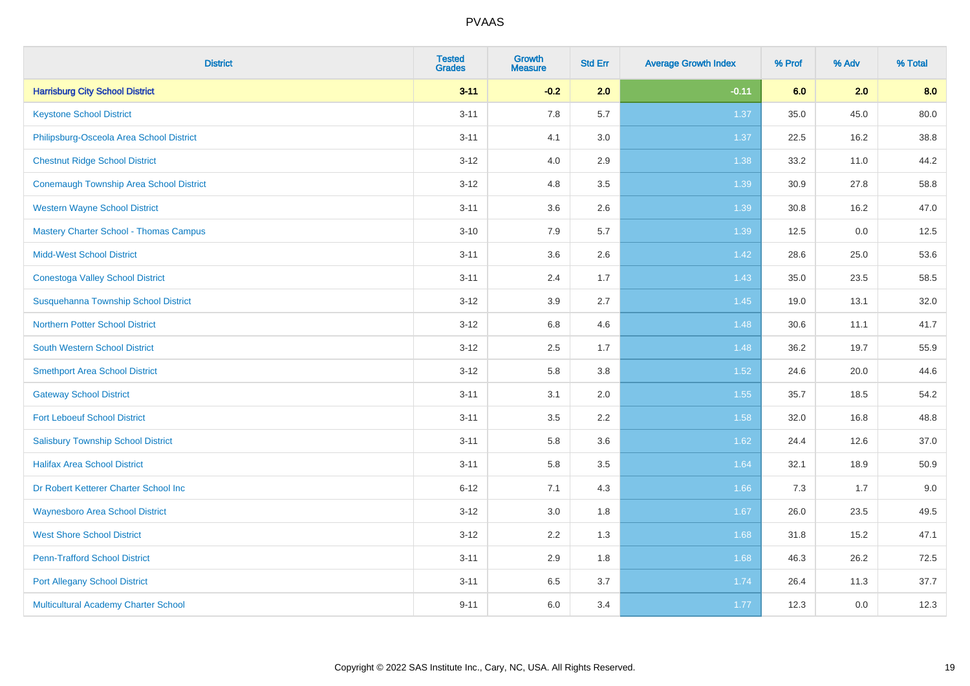| <b>District</b>                                | <b>Tested</b><br><b>Grades</b> | <b>Growth</b><br><b>Measure</b> | <b>Std Err</b> | <b>Average Growth Index</b> | % Prof | % Adv | % Total |
|------------------------------------------------|--------------------------------|---------------------------------|----------------|-----------------------------|--------|-------|---------|
| <b>Harrisburg City School District</b>         | $3 - 11$                       | $-0.2$                          | 2.0            | $-0.11$                     | 6.0    | 2.0   | 8.0     |
| <b>Keystone School District</b>                | $3 - 11$                       | 7.8                             | 5.7            | 1.37                        | 35.0   | 45.0  | 80.0    |
| Philipsburg-Osceola Area School District       | $3 - 11$                       | 4.1                             | 3.0            | 1.37                        | 22.5   | 16.2  | 38.8    |
| <b>Chestnut Ridge School District</b>          | $3 - 12$                       | 4.0                             | 2.9            | 1.38                        | 33.2   | 11.0  | 44.2    |
| <b>Conemaugh Township Area School District</b> | $3 - 12$                       | 4.8                             | 3.5            | 1.39                        | 30.9   | 27.8  | 58.8    |
| <b>Western Wayne School District</b>           | $3 - 11$                       | 3.6                             | 2.6            | 1.39                        | 30.8   | 16.2  | 47.0    |
| <b>Mastery Charter School - Thomas Campus</b>  | $3 - 10$                       | 7.9                             | 5.7            | 1.39                        | 12.5   | 0.0   | 12.5    |
| <b>Midd-West School District</b>               | $3 - 11$                       | 3.6                             | 2.6            | 1.42                        | 28.6   | 25.0  | 53.6    |
| <b>Conestoga Valley School District</b>        | $3 - 11$                       | 2.4                             | 1.7            | 1.43                        | 35.0   | 23.5  | 58.5    |
| Susquehanna Township School District           | $3 - 12$                       | 3.9                             | 2.7            | 1.45                        | 19.0   | 13.1  | 32.0    |
| <b>Northern Potter School District</b>         | $3 - 12$                       | $6.8\,$                         | 4.6            | 1.48                        | 30.6   | 11.1  | 41.7    |
| South Western School District                  | $3 - 12$                       | 2.5                             | 1.7            | 1.48                        | 36.2   | 19.7  | 55.9    |
| <b>Smethport Area School District</b>          | $3 - 12$                       | 5.8                             | 3.8            | 1.52                        | 24.6   | 20.0  | 44.6    |
| <b>Gateway School District</b>                 | $3 - 11$                       | 3.1                             | 2.0            | 1.55                        | 35.7   | 18.5  | 54.2    |
| <b>Fort Leboeuf School District</b>            | $3 - 11$                       | 3.5                             | 2.2            | 1.58                        | 32.0   | 16.8  | 48.8    |
| <b>Salisbury Township School District</b>      | $3 - 11$                       | 5.8                             | 3.6            | 1.62                        | 24.4   | 12.6  | 37.0    |
| <b>Halifax Area School District</b>            | $3 - 11$                       | 5.8                             | 3.5            | 1.64                        | 32.1   | 18.9  | 50.9    |
| Dr Robert Ketterer Charter School Inc          | $6 - 12$                       | 7.1                             | 4.3            | 1.66                        | 7.3    | 1.7   | 9.0     |
| <b>Waynesboro Area School District</b>         | $3 - 12$                       | 3.0                             | 1.8            | 1.67                        | 26.0   | 23.5  | 49.5    |
| <b>West Shore School District</b>              | $3 - 12$                       | 2.2                             | 1.3            | 1.68                        | 31.8   | 15.2  | 47.1    |
| <b>Penn-Trafford School District</b>           | $3 - 11$                       | 2.9                             | 1.8            | 1.68                        | 46.3   | 26.2  | 72.5    |
| <b>Port Allegany School District</b>           | $3 - 11$                       | 6.5                             | 3.7            | 1.74                        | 26.4   | 11.3  | 37.7    |
| Multicultural Academy Charter School           | $9 - 11$                       | 6.0                             | 3.4            | 1.77                        | 12.3   | 0.0   | 12.3    |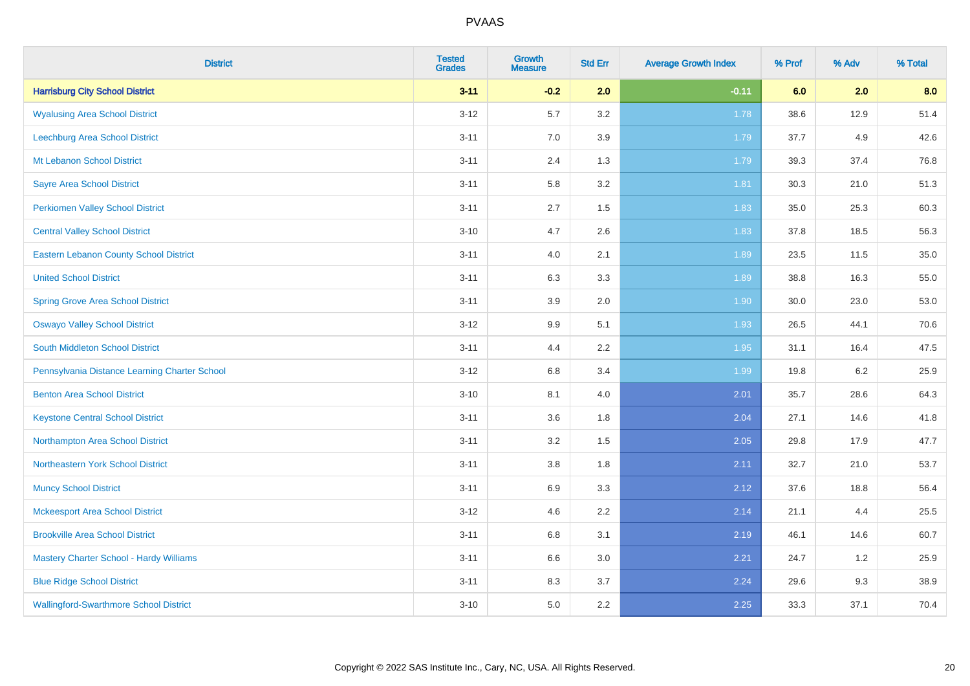| <b>District</b>                                | <b>Tested</b><br><b>Grades</b> | Growth<br><b>Measure</b> | <b>Std Err</b> | <b>Average Growth Index</b> | % Prof | % Adv   | % Total |
|------------------------------------------------|--------------------------------|--------------------------|----------------|-----------------------------|--------|---------|---------|
| <b>Harrisburg City School District</b>         | $3 - 11$                       | $-0.2$                   | 2.0            | $-0.11$                     | 6.0    | 2.0     | 8.0     |
| <b>Wyalusing Area School District</b>          | $3 - 12$                       | 5.7                      | 3.2            | 1.78                        | 38.6   | 12.9    | 51.4    |
| Leechburg Area School District                 | $3 - 11$                       | 7.0                      | 3.9            | 1.79                        | 37.7   | 4.9     | 42.6    |
| Mt Lebanon School District                     | $3 - 11$                       | 2.4                      | 1.3            | 1.79                        | 39.3   | 37.4    | 76.8    |
| <b>Sayre Area School District</b>              | $3 - 11$                       | 5.8                      | 3.2            | 1.81                        | 30.3   | 21.0    | 51.3    |
| <b>Perkiomen Valley School District</b>        | $3 - 11$                       | 2.7                      | 1.5            | 1.83                        | 35.0   | 25.3    | 60.3    |
| <b>Central Valley School District</b>          | $3 - 10$                       | 4.7                      | 2.6            | 1.83                        | 37.8   | 18.5    | 56.3    |
| <b>Eastern Lebanon County School District</b>  | $3 - 11$                       | 4.0                      | 2.1            | 1.89                        | 23.5   | 11.5    | 35.0    |
| <b>United School District</b>                  | $3 - 11$                       | 6.3                      | 3.3            | 1.89                        | 38.8   | 16.3    | 55.0    |
| <b>Spring Grove Area School District</b>       | $3 - 11$                       | 3.9                      | 2.0            | 1.90                        | 30.0   | 23.0    | 53.0    |
| <b>Oswayo Valley School District</b>           | $3 - 12$                       | 9.9                      | 5.1            | 1.93                        | 26.5   | 44.1    | 70.6    |
| <b>South Middleton School District</b>         | $3 - 11$                       | 4.4                      | 2.2            | 1.95                        | 31.1   | 16.4    | 47.5    |
| Pennsylvania Distance Learning Charter School  | $3 - 12$                       | 6.8                      | 3.4            | 1.99                        | 19.8   | $6.2\,$ | 25.9    |
| <b>Benton Area School District</b>             | $3 - 10$                       | 8.1                      | 4.0            | 2.01                        | 35.7   | 28.6    | 64.3    |
| <b>Keystone Central School District</b>        | $3 - 11$                       | 3.6                      | 1.8            | 2.04                        | 27.1   | 14.6    | 41.8    |
| Northampton Area School District               | $3 - 11$                       | 3.2                      | 1.5            | 2.05                        | 29.8   | 17.9    | 47.7    |
| Northeastern York School District              | $3 - 11$                       | $3.8\,$                  | 1.8            | 2.11                        | 32.7   | 21.0    | 53.7    |
| <b>Muncy School District</b>                   | $3 - 11$                       | 6.9                      | 3.3            | 2.12                        | 37.6   | 18.8    | 56.4    |
| <b>Mckeesport Area School District</b>         | $3 - 12$                       | 4.6                      | 2.2            | 2.14                        | 21.1   | 4.4     | 25.5    |
| <b>Brookville Area School District</b>         | $3 - 11$                       | 6.8                      | 3.1            | 2.19                        | 46.1   | 14.6    | 60.7    |
| <b>Mastery Charter School - Hardy Williams</b> | $3 - 11$                       | 6.6                      | 3.0            | 2.21                        | 24.7   | 1.2     | 25.9    |
| <b>Blue Ridge School District</b>              | $3 - 11$                       | 8.3                      | 3.7            | 2.24                        | 29.6   | 9.3     | 38.9    |
| <b>Wallingford-Swarthmore School District</b>  | $3 - 10$                       | 5.0                      | 2.2            | 2.25                        | 33.3   | 37.1    | 70.4    |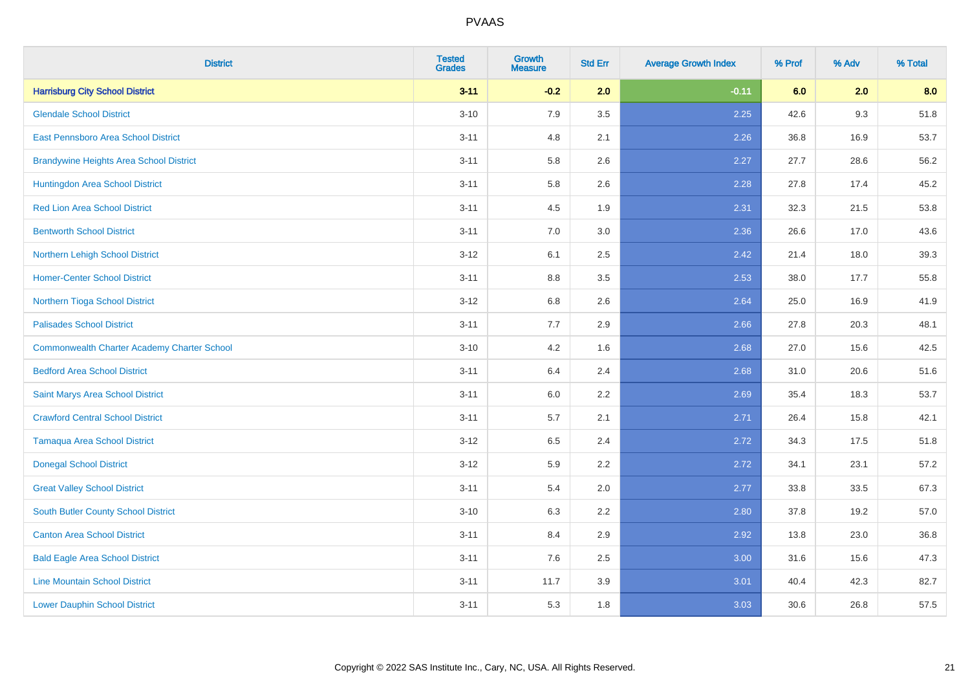| <b>District</b>                                    | <b>Tested</b><br><b>Grades</b> | <b>Growth</b><br><b>Measure</b> | <b>Std Err</b> | <b>Average Growth Index</b> | % Prof | % Adv | % Total |
|----------------------------------------------------|--------------------------------|---------------------------------|----------------|-----------------------------|--------|-------|---------|
| <b>Harrisburg City School District</b>             | $3 - 11$                       | $-0.2$                          | 2.0            | $-0.11$                     | 6.0    | 2.0   | 8.0     |
| <b>Glendale School District</b>                    | $3 - 10$                       | 7.9                             | 3.5            | 2.25                        | 42.6   | 9.3   | 51.8    |
| <b>East Pennsboro Area School District</b>         | $3 - 11$                       | 4.8                             | 2.1            | 2.26                        | 36.8   | 16.9  | 53.7    |
| <b>Brandywine Heights Area School District</b>     | $3 - 11$                       | 5.8                             | 2.6            | 2.27                        | 27.7   | 28.6  | 56.2    |
| Huntingdon Area School District                    | $3 - 11$                       | 5.8                             | 2.6            | 2.28                        | 27.8   | 17.4  | 45.2    |
| <b>Red Lion Area School District</b>               | $3 - 11$                       | 4.5                             | 1.9            | 2.31                        | 32.3   | 21.5  | 53.8    |
| <b>Bentworth School District</b>                   | $3 - 11$                       | 7.0                             | 3.0            | 2.36                        | 26.6   | 17.0  | 43.6    |
| Northern Lehigh School District                    | $3 - 12$                       | 6.1                             | 2.5            | 2.42                        | 21.4   | 18.0  | 39.3    |
| <b>Homer-Center School District</b>                | $3 - 11$                       | 8.8                             | 3.5            | 2.53                        | 38.0   | 17.7  | 55.8    |
| Northern Tioga School District                     | $3 - 12$                       | 6.8                             | 2.6            | 2.64                        | 25.0   | 16.9  | 41.9    |
| <b>Palisades School District</b>                   | $3 - 11$                       | 7.7                             | 2.9            | 2.66                        | 27.8   | 20.3  | 48.1    |
| <b>Commonwealth Charter Academy Charter School</b> | $3 - 10$                       | 4.2                             | 1.6            | 2.68                        | 27.0   | 15.6  | 42.5    |
| <b>Bedford Area School District</b>                | $3 - 11$                       | 6.4                             | 2.4            | 2.68                        | 31.0   | 20.6  | 51.6    |
| Saint Marys Area School District                   | $3 - 11$                       | 6.0                             | 2.2            | 2.69                        | 35.4   | 18.3  | 53.7    |
| <b>Crawford Central School District</b>            | $3 - 11$                       | 5.7                             | 2.1            | 2.71                        | 26.4   | 15.8  | 42.1    |
| <b>Tamaqua Area School District</b>                | $3-12$                         | 6.5                             | 2.4            | 2.72                        | 34.3   | 17.5  | 51.8    |
| <b>Donegal School District</b>                     | $3 - 12$                       | 5.9                             | 2.2            | 2.72                        | 34.1   | 23.1  | 57.2    |
| <b>Great Valley School District</b>                | $3 - 11$                       | 5.4                             | 2.0            | 2.77                        | 33.8   | 33.5  | 67.3    |
| <b>South Butler County School District</b>         | $3 - 10$                       | 6.3                             | 2.2            | 2.80                        | 37.8   | 19.2  | 57.0    |
| <b>Canton Area School District</b>                 | $3 - 11$                       | 8.4                             | 2.9            | 2.92                        | 13.8   | 23.0  | 36.8    |
| <b>Bald Eagle Area School District</b>             | $3 - 11$                       | 7.6                             | 2.5            | 3.00                        | 31.6   | 15.6  | 47.3    |
| <b>Line Mountain School District</b>               | $3 - 11$                       | 11.7                            | 3.9            | 3.01                        | 40.4   | 42.3  | 82.7    |
| <b>Lower Dauphin School District</b>               | $3 - 11$                       | 5.3                             | 1.8            | 3.03                        | 30.6   | 26.8  | 57.5    |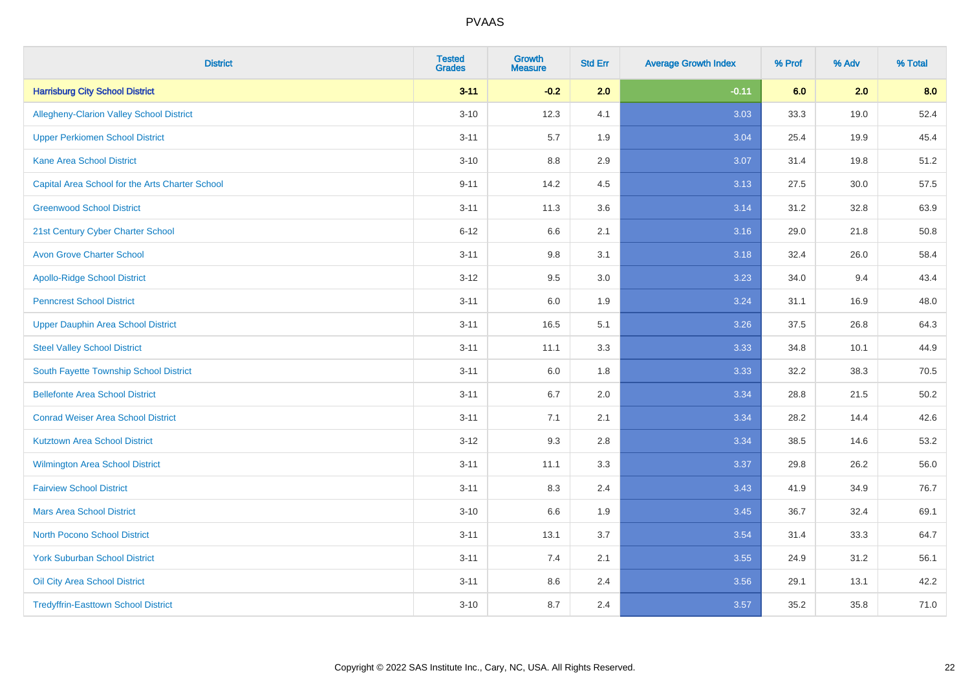| <b>District</b>                                 | <b>Tested</b><br><b>Grades</b> | <b>Growth</b><br><b>Measure</b> | <b>Std Err</b> | <b>Average Growth Index</b> | % Prof | % Adv | % Total |
|-------------------------------------------------|--------------------------------|---------------------------------|----------------|-----------------------------|--------|-------|---------|
| <b>Harrisburg City School District</b>          | $3 - 11$                       | $-0.2$                          | 2.0            | $-0.11$                     | 6.0    | 2.0   | 8.0     |
| <b>Allegheny-Clarion Valley School District</b> | $3 - 10$                       | 12.3                            | 4.1            | 3.03                        | 33.3   | 19.0  | 52.4    |
| <b>Upper Perkiomen School District</b>          | $3 - 11$                       | 5.7                             | 1.9            | 3.04                        | 25.4   | 19.9  | 45.4    |
| <b>Kane Area School District</b>                | $3 - 10$                       | 8.8                             | 2.9            | 3.07                        | 31.4   | 19.8  | 51.2    |
| Capital Area School for the Arts Charter School | $9 - 11$                       | 14.2                            | 4.5            | 3.13                        | 27.5   | 30.0  | 57.5    |
| <b>Greenwood School District</b>                | $3 - 11$                       | 11.3                            | 3.6            | 3.14                        | 31.2   | 32.8  | 63.9    |
| 21st Century Cyber Charter School               | $6 - 12$                       | 6.6                             | 2.1            | 3.16                        | 29.0   | 21.8  | 50.8    |
| <b>Avon Grove Charter School</b>                | $3 - 11$                       | 9.8                             | 3.1            | 3.18                        | 32.4   | 26.0  | 58.4    |
| <b>Apollo-Ridge School District</b>             | $3 - 12$                       | 9.5                             | 3.0            | 3.23                        | 34.0   | 9.4   | 43.4    |
| <b>Penncrest School District</b>                | $3 - 11$                       | 6.0                             | 1.9            | 3.24                        | 31.1   | 16.9  | 48.0    |
| <b>Upper Dauphin Area School District</b>       | $3 - 11$                       | 16.5                            | 5.1            | 3.26                        | 37.5   | 26.8  | 64.3    |
| <b>Steel Valley School District</b>             | $3 - 11$                       | 11.1                            | 3.3            | 3.33                        | 34.8   | 10.1  | 44.9    |
| South Fayette Township School District          | $3 - 11$                       | 6.0                             | 1.8            | 3.33                        | 32.2   | 38.3  | 70.5    |
| <b>Bellefonte Area School District</b>          | $3 - 11$                       | 6.7                             | 2.0            | 3.34                        | 28.8   | 21.5  | 50.2    |
| <b>Conrad Weiser Area School District</b>       | $3 - 11$                       | 7.1                             | 2.1            | 3.34                        | 28.2   | 14.4  | 42.6    |
| <b>Kutztown Area School District</b>            | $3 - 12$                       | 9.3                             | 2.8            | 3.34                        | 38.5   | 14.6  | 53.2    |
| Wilmington Area School District                 | $3 - 11$                       | 11.1                            | 3.3            | 3.37                        | 29.8   | 26.2  | 56.0    |
| <b>Fairview School District</b>                 | $3 - 11$                       | 8.3                             | 2.4            | 3.43                        | 41.9   | 34.9  | 76.7    |
| <b>Mars Area School District</b>                | $3 - 10$                       | 6.6                             | 1.9            | 3.45                        | 36.7   | 32.4  | 69.1    |
| <b>North Pocono School District</b>             | $3 - 11$                       | 13.1                            | 3.7            | 3.54                        | 31.4   | 33.3  | 64.7    |
| <b>York Suburban School District</b>            | $3 - 11$                       | 7.4                             | 2.1            | 3.55                        | 24.9   | 31.2  | 56.1    |
| Oil City Area School District                   | $3 - 11$                       | 8.6                             | 2.4            | 3.56                        | 29.1   | 13.1  | 42.2    |
| <b>Tredyffrin-Easttown School District</b>      | $3 - 10$                       | 8.7                             | 2.4            | 3.57                        | 35.2   | 35.8  | 71.0    |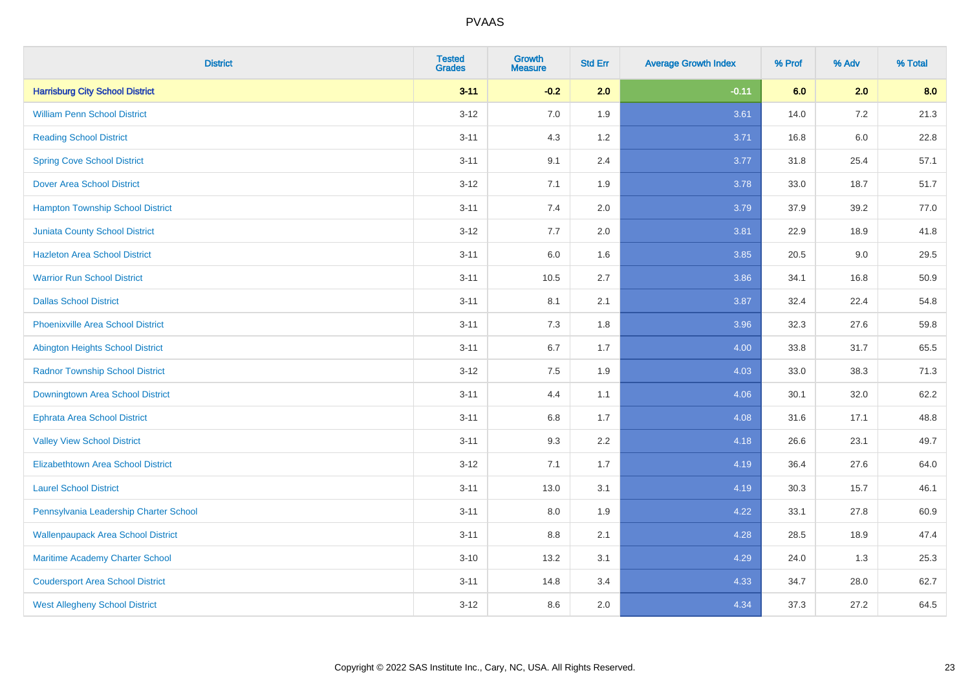| <b>District</b>                           | <b>Tested</b><br><b>Grades</b> | <b>Growth</b><br><b>Measure</b> | <b>Std Err</b> | <b>Average Growth Index</b> | % Prof | % Adv   | % Total |
|-------------------------------------------|--------------------------------|---------------------------------|----------------|-----------------------------|--------|---------|---------|
| <b>Harrisburg City School District</b>    | $3 - 11$                       | $-0.2$                          | 2.0            | $-0.11$                     | 6.0    | 2.0     | 8.0     |
| <b>William Penn School District</b>       | $3 - 12$                       | 7.0                             | 1.9            | 3.61                        | 14.0   | $7.2\,$ | 21.3    |
| <b>Reading School District</b>            | $3 - 11$                       | 4.3                             | 1.2            | 3.71                        | 16.8   | $6.0\,$ | 22.8    |
| <b>Spring Cove School District</b>        | $3 - 11$                       | 9.1                             | 2.4            | 3.77                        | 31.8   | 25.4    | 57.1    |
| <b>Dover Area School District</b>         | $3-12$                         | 7.1                             | 1.9            | 3.78                        | 33.0   | 18.7    | 51.7    |
| <b>Hampton Township School District</b>   | $3 - 11$                       | 7.4                             | 2.0            | 3.79                        | 37.9   | 39.2    | 77.0    |
| <b>Juniata County School District</b>     | $3-12$                         | 7.7                             | 2.0            | 3.81                        | 22.9   | 18.9    | 41.8    |
| <b>Hazleton Area School District</b>      | $3 - 11$                       | 6.0                             | 1.6            | 3.85                        | 20.5   | 9.0     | 29.5    |
| <b>Warrior Run School District</b>        | $3 - 11$                       | 10.5                            | 2.7            | 3.86                        | 34.1   | 16.8    | 50.9    |
| <b>Dallas School District</b>             | $3 - 11$                       | 8.1                             | 2.1            | 3.87                        | 32.4   | 22.4    | 54.8    |
| <b>Phoenixville Area School District</b>  | $3 - 11$                       | 7.3                             | 1.8            | 3.96                        | 32.3   | 27.6    | 59.8    |
| Abington Heights School District          | $3 - 11$                       | 6.7                             | 1.7            | 4.00                        | 33.8   | 31.7    | 65.5    |
| <b>Radnor Township School District</b>    | $3 - 12$                       | $7.5\,$                         | 1.9            | 4.03                        | 33.0   | 38.3    | 71.3    |
| Downingtown Area School District          | $3 - 11$                       | 4.4                             | 1.1            | 4.06                        | 30.1   | 32.0    | 62.2    |
| <b>Ephrata Area School District</b>       | $3 - 11$                       | 6.8                             | 1.7            | 4.08                        | 31.6   | 17.1    | 48.8    |
| <b>Valley View School District</b>        | $3 - 11$                       | 9.3                             | 2.2            | 4.18                        | 26.6   | 23.1    | 49.7    |
| <b>Elizabethtown Area School District</b> | $3-12$                         | 7.1                             | 1.7            | 4.19                        | 36.4   | 27.6    | 64.0    |
| <b>Laurel School District</b>             | $3 - 11$                       | 13.0                            | 3.1            | 4.19                        | 30.3   | 15.7    | 46.1    |
| Pennsylvania Leadership Charter School    | $3 - 11$                       | 8.0                             | 1.9            | 4.22                        | 33.1   | 27.8    | 60.9    |
| <b>Wallenpaupack Area School District</b> | $3 - 11$                       | 8.8                             | 2.1            | 4.28                        | 28.5   | 18.9    | 47.4    |
| Maritime Academy Charter School           | $3 - 10$                       | 13.2                            | 3.1            | 4.29                        | 24.0   | 1.3     | 25.3    |
| <b>Coudersport Area School District</b>   | $3 - 11$                       | 14.8                            | 3.4            | 4.33                        | 34.7   | 28.0    | 62.7    |
| <b>West Allegheny School District</b>     | $3-12$                         | 8.6                             | 2.0            | 4.34                        | 37.3   | 27.2    | 64.5    |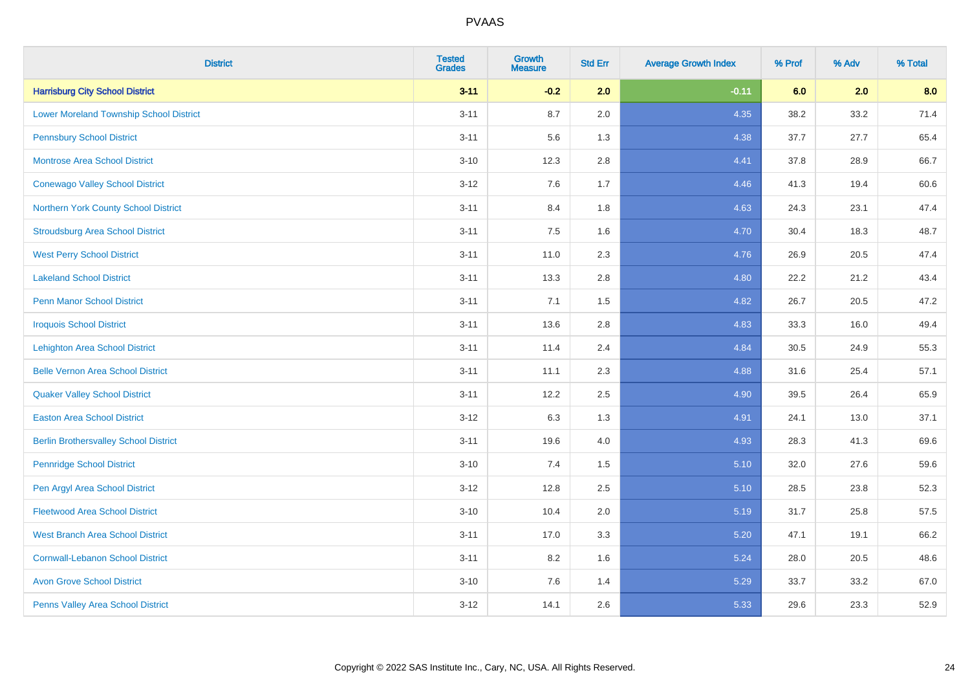| <b>District</b>                                | <b>Tested</b><br><b>Grades</b> | <b>Growth</b><br><b>Measure</b> | <b>Std Err</b> | <b>Average Growth Index</b> | % Prof | % Adv | % Total |
|------------------------------------------------|--------------------------------|---------------------------------|----------------|-----------------------------|--------|-------|---------|
| <b>Harrisburg City School District</b>         | $3 - 11$                       | $-0.2$                          | 2.0            | $-0.11$                     | 6.0    | 2.0   | 8.0     |
| <b>Lower Moreland Township School District</b> | $3 - 11$                       | 8.7                             | 2.0            | 4.35                        | 38.2   | 33.2  | 71.4    |
| <b>Pennsbury School District</b>               | $3 - 11$                       | 5.6                             | 1.3            | 4.38                        | 37.7   | 27.7  | 65.4    |
| <b>Montrose Area School District</b>           | $3 - 10$                       | 12.3                            | 2.8            | 4.41                        | 37.8   | 28.9  | 66.7    |
| <b>Conewago Valley School District</b>         | $3 - 12$                       | 7.6                             | 1.7            | 4.46                        | 41.3   | 19.4  | 60.6    |
| Northern York County School District           | $3 - 11$                       | 8.4                             | 1.8            | 4.63                        | 24.3   | 23.1  | 47.4    |
| <b>Stroudsburg Area School District</b>        | $3 - 11$                       | 7.5                             | 1.6            | 4.70                        | 30.4   | 18.3  | 48.7    |
| <b>West Perry School District</b>              | $3 - 11$                       | 11.0                            | 2.3            | 4.76                        | 26.9   | 20.5  | 47.4    |
| <b>Lakeland School District</b>                | $3 - 11$                       | 13.3                            | 2.8            | 4.80                        | 22.2   | 21.2  | 43.4    |
| <b>Penn Manor School District</b>              | $3 - 11$                       | 7.1                             | 1.5            | 4.82                        | 26.7   | 20.5  | 47.2    |
| <b>Iroquois School District</b>                | $3 - 11$                       | 13.6                            | 2.8            | 4.83                        | 33.3   | 16.0  | 49.4    |
| <b>Lehighton Area School District</b>          | $3 - 11$                       | 11.4                            | 2.4            | 4.84                        | 30.5   | 24.9  | 55.3    |
| <b>Belle Vernon Area School District</b>       | $3 - 11$                       | 11.1                            | 2.3            | 4.88                        | 31.6   | 25.4  | 57.1    |
| <b>Quaker Valley School District</b>           | $3 - 11$                       | 12.2                            | 2.5            | 4.90                        | 39.5   | 26.4  | 65.9    |
| <b>Easton Area School District</b>             | $3 - 12$                       | 6.3                             | 1.3            | 4.91                        | 24.1   | 13.0  | 37.1    |
| <b>Berlin Brothersvalley School District</b>   | $3 - 11$                       | 19.6                            | 4.0            | 4.93                        | 28.3   | 41.3  | 69.6    |
| <b>Pennridge School District</b>               | $3 - 10$                       | 7.4                             | 1.5            | 5.10                        | 32.0   | 27.6  | 59.6    |
| Pen Argyl Area School District                 | $3 - 12$                       | 12.8                            | 2.5            | 5.10                        | 28.5   | 23.8  | 52.3    |
| <b>Fleetwood Area School District</b>          | $3 - 10$                       | 10.4                            | 2.0            | 5.19                        | 31.7   | 25.8  | 57.5    |
| <b>West Branch Area School District</b>        | $3 - 11$                       | 17.0                            | 3.3            | 5.20                        | 47.1   | 19.1  | 66.2    |
| <b>Cornwall-Lebanon School District</b>        | $3 - 11$                       | 8.2                             | 1.6            | 5.24                        | 28.0   | 20.5  | 48.6    |
| <b>Avon Grove School District</b>              | $3 - 10$                       | 7.6                             | 1.4            | 5.29                        | 33.7   | 33.2  | 67.0    |
| Penns Valley Area School District              | $3 - 12$                       | 14.1                            | 2.6            | 5.33                        | 29.6   | 23.3  | 52.9    |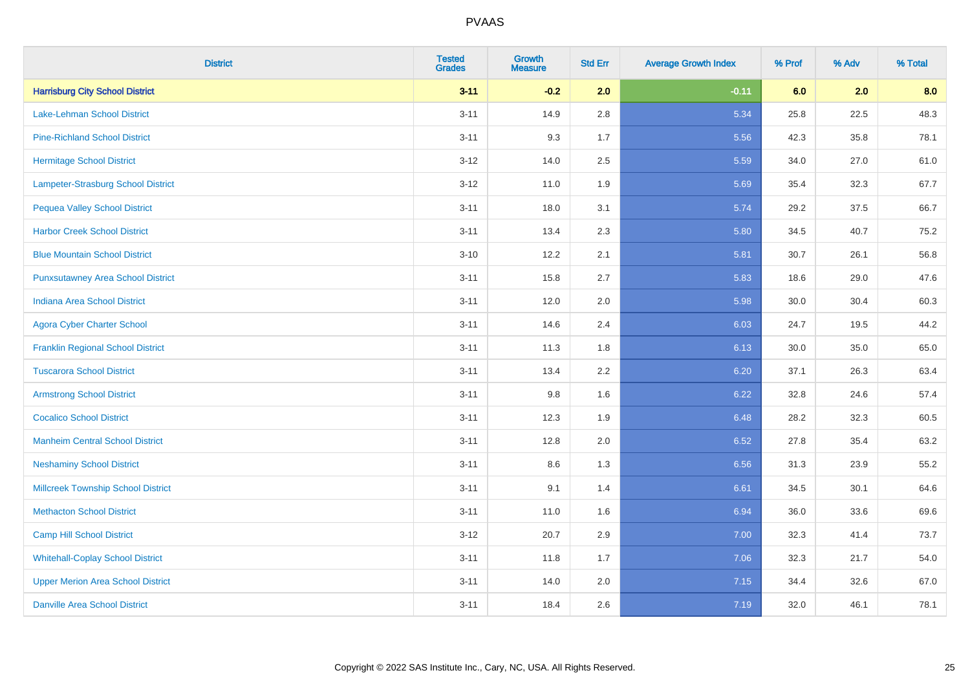| <b>District</b>                           | <b>Tested</b><br><b>Grades</b> | <b>Growth</b><br><b>Measure</b> | <b>Std Err</b> | <b>Average Growth Index</b> | % Prof | % Adv | % Total |
|-------------------------------------------|--------------------------------|---------------------------------|----------------|-----------------------------|--------|-------|---------|
| <b>Harrisburg City School District</b>    | $3 - 11$                       | $-0.2$                          | 2.0            | $-0.11$                     | 6.0    | 2.0   | 8.0     |
| <b>Lake-Lehman School District</b>        | $3 - 11$                       | 14.9                            | 2.8            | 5.34                        | 25.8   | 22.5  | 48.3    |
| <b>Pine-Richland School District</b>      | $3 - 11$                       | 9.3                             | 1.7            | 5.56                        | 42.3   | 35.8  | 78.1    |
| <b>Hermitage School District</b>          | $3 - 12$                       | 14.0                            | 2.5            | 5.59                        | 34.0   | 27.0  | 61.0    |
| <b>Lampeter-Strasburg School District</b> | $3 - 12$                       | 11.0                            | 1.9            | 5.69                        | 35.4   | 32.3  | 67.7    |
| <b>Pequea Valley School District</b>      | $3 - 11$                       | 18.0                            | 3.1            | 5.74                        | 29.2   | 37.5  | 66.7    |
| <b>Harbor Creek School District</b>       | $3 - 11$                       | 13.4                            | 2.3            | 5.80                        | 34.5   | 40.7  | 75.2    |
| <b>Blue Mountain School District</b>      | $3 - 10$                       | 12.2                            | 2.1            | 5.81                        | 30.7   | 26.1  | 56.8    |
| <b>Punxsutawney Area School District</b>  | $3 - 11$                       | 15.8                            | 2.7            | 5.83                        | 18.6   | 29.0  | 47.6    |
| <b>Indiana Area School District</b>       | $3 - 11$                       | 12.0                            | 2.0            | 5.98                        | 30.0   | 30.4  | 60.3    |
| <b>Agora Cyber Charter School</b>         | $3 - 11$                       | 14.6                            | 2.4            | 6.03                        | 24.7   | 19.5  | 44.2    |
| <b>Franklin Regional School District</b>  | $3 - 11$                       | 11.3                            | 1.8            | 6.13                        | 30.0   | 35.0  | 65.0    |
| <b>Tuscarora School District</b>          | $3 - 11$                       | 13.4                            | 2.2            | 6.20                        | 37.1   | 26.3  | 63.4    |
| <b>Armstrong School District</b>          | $3 - 11$                       | 9.8                             | 1.6            | 6.22                        | 32.8   | 24.6  | 57.4    |
| <b>Cocalico School District</b>           | $3 - 11$                       | 12.3                            | 1.9            | 6.48                        | 28.2   | 32.3  | 60.5    |
| <b>Manheim Central School District</b>    | $3 - 11$                       | 12.8                            | 2.0            | 6.52                        | 27.8   | 35.4  | 63.2    |
| <b>Neshaminy School District</b>          | $3 - 11$                       | 8.6                             | 1.3            | 6.56                        | 31.3   | 23.9  | 55.2    |
| <b>Millcreek Township School District</b> | $3 - 11$                       | 9.1                             | 1.4            | 6.61                        | 34.5   | 30.1  | 64.6    |
| <b>Methacton School District</b>          | $3 - 11$                       | 11.0                            | 1.6            | 6.94                        | 36.0   | 33.6  | 69.6    |
| <b>Camp Hill School District</b>          | $3 - 12$                       | 20.7                            | 2.9            | 7.00                        | 32.3   | 41.4  | 73.7    |
| <b>Whitehall-Coplay School District</b>   | $3 - 11$                       | 11.8                            | 1.7            | 7.06                        | 32.3   | 21.7  | 54.0    |
| <b>Upper Merion Area School District</b>  | $3 - 11$                       | 14.0                            | 2.0            | 7.15                        | 34.4   | 32.6  | 67.0    |
| <b>Danville Area School District</b>      | $3 - 11$                       | 18.4                            | 2.6            | 7.19                        | 32.0   | 46.1  | 78.1    |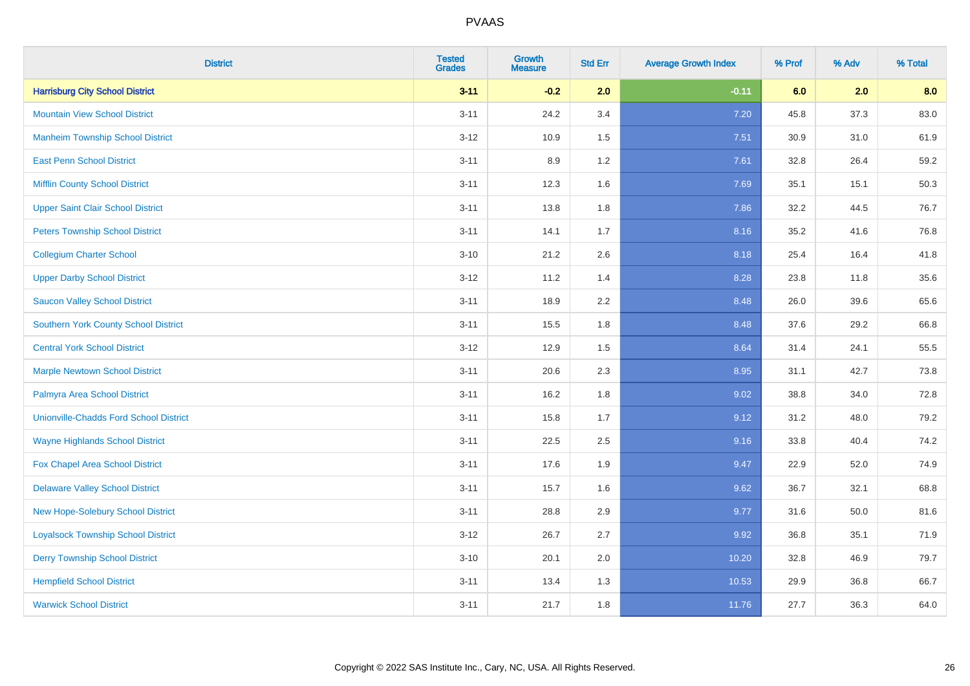| <b>District</b>                               | <b>Tested</b><br><b>Grades</b> | <b>Growth</b><br><b>Measure</b> | <b>Std Err</b> | <b>Average Growth Index</b> | % Prof | % Adv | % Total |
|-----------------------------------------------|--------------------------------|---------------------------------|----------------|-----------------------------|--------|-------|---------|
| <b>Harrisburg City School District</b>        | $3 - 11$                       | $-0.2$                          | 2.0            | $-0.11$                     | 6.0    | 2.0   | 8.0     |
| <b>Mountain View School District</b>          | $3 - 11$                       | 24.2                            | 3.4            | 7.20                        | 45.8   | 37.3  | 83.0    |
| <b>Manheim Township School District</b>       | $3 - 12$                       | 10.9                            | 1.5            | 7.51                        | 30.9   | 31.0  | 61.9    |
| <b>East Penn School District</b>              | $3 - 11$                       | 8.9                             | 1.2            | 7.61                        | 32.8   | 26.4  | 59.2    |
| <b>Mifflin County School District</b>         | $3 - 11$                       | 12.3                            | 1.6            | 7.69                        | 35.1   | 15.1  | 50.3    |
| <b>Upper Saint Clair School District</b>      | $3 - 11$                       | 13.8                            | 1.8            | 7.86                        | 32.2   | 44.5  | 76.7    |
| <b>Peters Township School District</b>        | $3 - 11$                       | 14.1                            | 1.7            | 8.16                        | 35.2   | 41.6  | 76.8    |
| <b>Collegium Charter School</b>               | $3 - 10$                       | 21.2                            | 2.6            | 8.18                        | 25.4   | 16.4  | 41.8    |
| <b>Upper Darby School District</b>            | $3-12$                         | 11.2                            | 1.4            | 8.28                        | 23.8   | 11.8  | 35.6    |
| <b>Saucon Valley School District</b>          | $3 - 11$                       | 18.9                            | 2.2            | 8.48                        | 26.0   | 39.6  | 65.6    |
| <b>Southern York County School District</b>   | $3 - 11$                       | 15.5                            | 1.8            | 8.48                        | 37.6   | 29.2  | 66.8    |
| <b>Central York School District</b>           | $3 - 12$                       | 12.9                            | 1.5            | 8.64                        | 31.4   | 24.1  | 55.5    |
| <b>Marple Newtown School District</b>         | $3 - 11$                       | 20.6                            | 2.3            | 8.95                        | 31.1   | 42.7  | 73.8    |
| Palmyra Area School District                  | $3 - 11$                       | 16.2                            | 1.8            | 9.02                        | 38.8   | 34.0  | 72.8    |
| <b>Unionville-Chadds Ford School District</b> | $3 - 11$                       | 15.8                            | 1.7            | 9.12                        | 31.2   | 48.0  | 79.2    |
| <b>Wayne Highlands School District</b>        | $3 - 11$                       | 22.5                            | 2.5            | 9.16                        | 33.8   | 40.4  | 74.2    |
| <b>Fox Chapel Area School District</b>        | $3 - 11$                       | 17.6                            | 1.9            | 9.47                        | 22.9   | 52.0  | 74.9    |
| <b>Delaware Valley School District</b>        | $3 - 11$                       | 15.7                            | 1.6            | 9.62                        | 36.7   | 32.1  | 68.8    |
| <b>New Hope-Solebury School District</b>      | $3 - 11$                       | 28.8                            | 2.9            | 9.77                        | 31.6   | 50.0  | 81.6    |
| <b>Loyalsock Township School District</b>     | $3 - 12$                       | 26.7                            | 2.7            | 9.92                        | 36.8   | 35.1  | 71.9    |
| <b>Derry Township School District</b>         | $3 - 10$                       | 20.1                            | 2.0            | 10.20                       | 32.8   | 46.9  | 79.7    |
| <b>Hempfield School District</b>              | $3 - 11$                       | 13.4                            | 1.3            | 10.53                       | 29.9   | 36.8  | 66.7    |
| <b>Warwick School District</b>                | $3 - 11$                       | 21.7                            | 1.8            | 11.76                       | 27.7   | 36.3  | 64.0    |